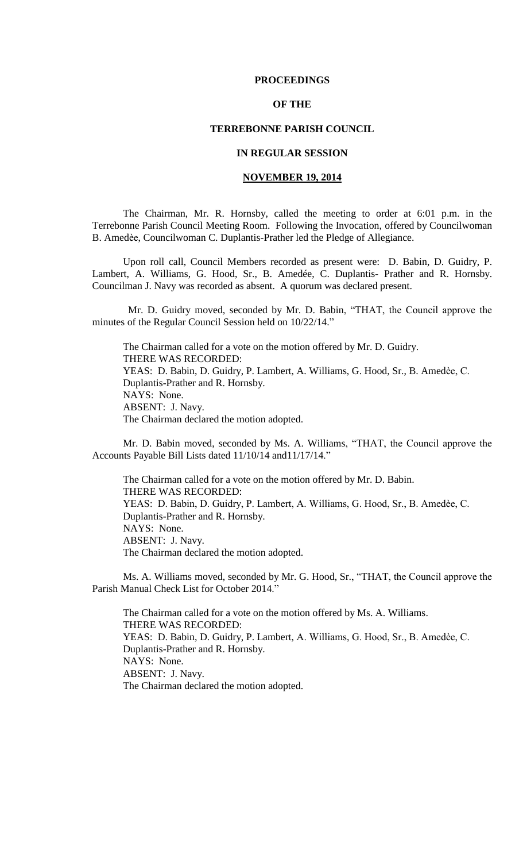## **PROCEEDINGS**

# **OF THE**

# **TERREBONNE PARISH COUNCIL**

## **IN REGULAR SESSION**

## **NOVEMBER 19, 2014**

The Chairman, Mr. R. Hornsby, called the meeting to order at 6:01 p.m. in the Terrebonne Parish Council Meeting Room. Following the Invocation, offered by Councilwoman B. Amedѐe, Councilwoman C. Duplantis-Prather led the Pledge of Allegiance.

Upon roll call, Council Members recorded as present were: D. Babin, D. Guidry, P. Lambert, A. Williams, G. Hood, Sr., B. Amedée, C. Duplantis- Prather and R. Hornsby. Councilman J. Navy was recorded as absent. A quorum was declared present.

 Mr. D. Guidry moved, seconded by Mr. D. Babin, "THAT, the Council approve the minutes of the Regular Council Session held on 10/22/14."

The Chairman called for a vote on the motion offered by Mr. D. Guidry. THERE WAS RECORDED: YEAS: D. Babin, D. Guidry, P. Lambert, A. Williams, G. Hood, Sr., B. Amedèe, C. Duplantis-Prather and R. Hornsby. NAYS: None. ABSENT: J. Navy. The Chairman declared the motion adopted.

Mr. D. Babin moved, seconded by Ms. A. Williams, "THAT, the Council approve the Accounts Payable Bill Lists dated 11/10/14 and11/17/14."

The Chairman called for a vote on the motion offered by Mr. D. Babin. THERE WAS RECORDED: YEAS: D. Babin, D. Guidry, P. Lambert, A. Williams, G. Hood, Sr., B. Amedèe, C. Duplantis-Prather and R. Hornsby. NAYS: None. ABSENT: J. Navy. The Chairman declared the motion adopted.

Ms. A. Williams moved, seconded by Mr. G. Hood, Sr., "THAT, the Council approve the Parish Manual Check List for October 2014."

The Chairman called for a vote on the motion offered by Ms. A. Williams. THERE WAS RECORDED: YEAS: D. Babin, D. Guidry, P. Lambert, A. Williams, G. Hood, Sr., B. Amedèe, C. Duplantis-Prather and R. Hornsby. NAYS: None. ABSENT: J. Navy. The Chairman declared the motion adopted.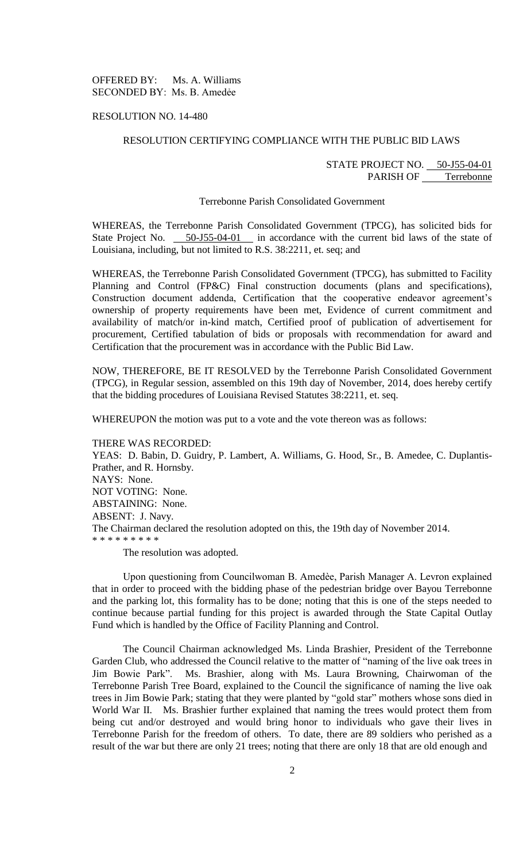OFFERED BY: Ms. A. Williams SECONDED BY: Ms. B. Amedẻe

RESOLUTION NO. 14-480

## RESOLUTION CERTIFYING COMPLIANCE WITH THE PUBLIC BID LAWS

# STATE PROJECT NO. 50-J55-04-01 PARISH OF Terrebonne

#### Terrebonne Parish Consolidated Government

WHEREAS, the Terrebonne Parish Consolidated Government (TPCG), has solicited bids for State Project No. 50-J55-04-01 in accordance with the current bid laws of the state of Louisiana, including, but not limited to R.S. 38:2211, et. seq; and

WHEREAS, the Terrebonne Parish Consolidated Government (TPCG), has submitted to Facility Planning and Control (FP&C) Final construction documents (plans and specifications), Construction document addenda, Certification that the cooperative endeavor agreement's ownership of property requirements have been met, Evidence of current commitment and availability of match/or in-kind match, Certified proof of publication of advertisement for procurement, Certified tabulation of bids or proposals with recommendation for award and Certification that the procurement was in accordance with the Public Bid Law.

NOW, THEREFORE, BE IT RESOLVED by the Terrebonne Parish Consolidated Government (TPCG), in Regular session, assembled on this 19th day of November, 2014, does hereby certify that the bidding procedures of Louisiana Revised Statutes 38:2211, et. seq.

WHEREUPON the motion was put to a vote and the vote thereon was as follows:

THERE WAS RECORDED:

YEAS: D. Babin, D. Guidry, P. Lambert, A. Williams, G. Hood, Sr., B. Amedee, C. Duplantis-Prather, and R. Hornsby. NAYS: None. NOT VOTING: None. ABSTAINING: None. ABSENT: J. Navy. The Chairman declared the resolution adopted on this, the 19th day of November 2014. \* \* \* \* \* \* \* \* \* The resolution was adopted.

Upon questioning from Councilwoman B. Amedѐe, Parish Manager A. Levron explained that in order to proceed with the bidding phase of the pedestrian bridge over Bayou Terrebonne and the parking lot, this formality has to be done; noting that this is one of the steps needed to continue because partial funding for this project is awarded through the State Capital Outlay Fund which is handled by the Office of Facility Planning and Control.

The Council Chairman acknowledged Ms. Linda Brashier, President of the Terrebonne Garden Club, who addressed the Council relative to the matter of "naming of the live oak trees in Jim Bowie Park". Ms. Brashier, along with Ms. Laura Browning, Chairwoman of the Terrebonne Parish Tree Board, explained to the Council the significance of naming the live oak trees in Jim Bowie Park; stating that they were planted by "gold star" mothers whose sons died in World War II. Ms. Brashier further explained that naming the trees would protect them from being cut and/or destroyed and would bring honor to individuals who gave their lives in Terrebonne Parish for the freedom of others. To date, there are 89 soldiers who perished as a result of the war but there are only 21 trees; noting that there are only 18 that are old enough and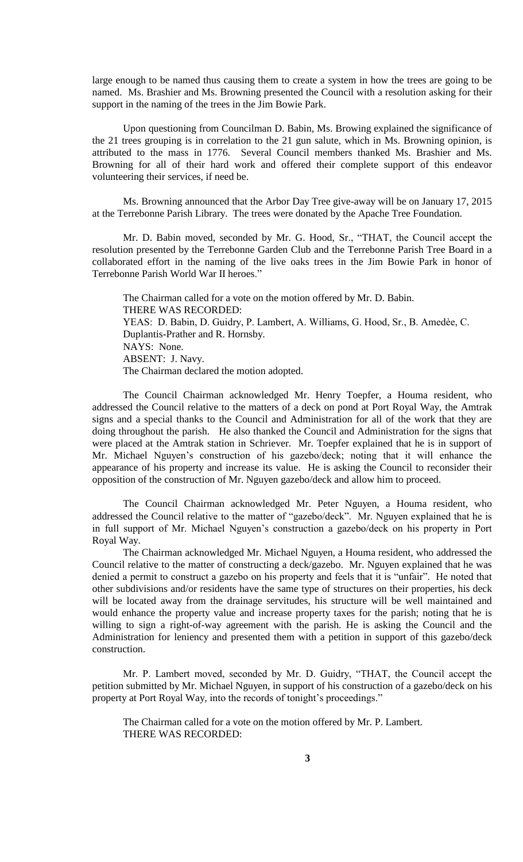large enough to be named thus causing them to create a system in how the trees are going to be named. Ms. Brashier and Ms. Browning presented the Council with a resolution asking for their support in the naming of the trees in the Jim Bowie Park.

Upon questioning from Councilman D. Babin, Ms. Browing explained the significance of the 21 trees grouping is in correlation to the 21 gun salute, which in Ms. Browning opinion, is attributed to the mass in 1776. Several Council members thanked Ms. Brashier and Ms. Browning for all of their hard work and offered their complete support of this endeavor volunteering their services, if need be.

Ms. Browning announced that the Arbor Day Tree give-away will be on January 17, 2015 at the Terrebonne Parish Library. The trees were donated by the Apache Tree Foundation.

Mr. D. Babin moved, seconded by Mr. G. Hood, Sr., "THAT, the Council accept the resolution presented by the Terrebonne Garden Club and the Terrebonne Parish Tree Board in a collaborated effort in the naming of the live oaks trees in the Jim Bowie Park in honor of Terrebonne Parish World War II heroes."

The Chairman called for a vote on the motion offered by Mr. D. Babin. THERE WAS RECORDED: YEAS: D. Babin, D. Guidry, P. Lambert, A. Williams, G. Hood, Sr., B. Amedèe, C. Duplantis-Prather and R. Hornsby. NAYS: None. ABSENT: J. Navy. The Chairman declared the motion adopted.

The Council Chairman acknowledged Mr. Henry Toepfer, a Houma resident, who addressed the Council relative to the matters of a deck on pond at Port Royal Way, the Amtrak signs and a special thanks to the Council and Administration for all of the work that they are doing throughout the parish. He also thanked the Council and Administration for the signs that were placed at the Amtrak station in Schriever. Mr. Toepfer explained that he is in support of Mr. Michael Nguyen's construction of his gazebo/deck; noting that it will enhance the appearance of his property and increase its value. He is asking the Council to reconsider their opposition of the construction of Mr. Nguyen gazebo/deck and allow him to proceed.

The Council Chairman acknowledged Mr. Peter Nguyen, a Houma resident, who addressed the Council relative to the matter of "gazebo/deck". Mr. Nguyen explained that he is in full support of Mr. Michael Nguyen's construction a gazebo/deck on his property in Port Royal Way.

The Chairman acknowledged Mr. Michael Nguyen, a Houma resident, who addressed the Council relative to the matter of constructing a deck/gazebo. Mr. Nguyen explained that he was denied a permit to construct a gazebo on his property and feels that it is "unfair". He noted that other subdivisions and/or residents have the same type of structures on their properties, his deck will be located away from the drainage servitudes, his structure will be well maintained and would enhance the property value and increase property taxes for the parish; noting that he is willing to sign a right-of-way agreement with the parish. He is asking the Council and the Administration for leniency and presented them with a petition in support of this gazebo/deck construction.

Mr. P. Lambert moved, seconded by Mr. D. Guidry, "THAT, the Council accept the petition submitted by Mr. Michael Nguyen, in support of his construction of a gazebo/deck on his property at Port Royal Way, into the records of tonight's proceedings."

The Chairman called for a vote on the motion offered by Mr. P. Lambert. THERE WAS RECORDED: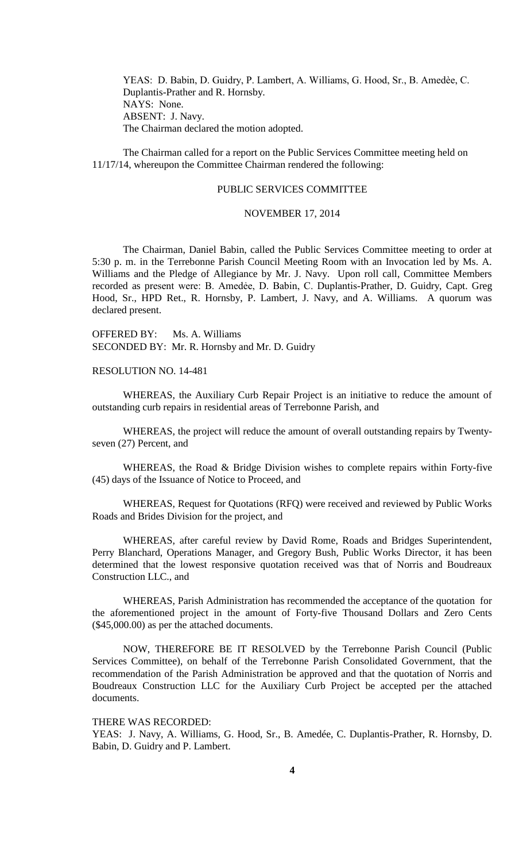YEAS: D. Babin, D. Guidry, P. Lambert, A. Williams, G. Hood, Sr., B. Amedèe, C. Duplantis-Prather and R. Hornsby. NAYS: None. ABSENT: J. Navy. The Chairman declared the motion adopted.

The Chairman called for a report on the Public Services Committee meeting held on 11/17/14, whereupon the Committee Chairman rendered the following:

## PUBLIC SERVICES COMMITTEE

### NOVEMBER 17, 2014

The Chairman, Daniel Babin, called the Public Services Committee meeting to order at 5:30 p. m. in the Terrebonne Parish Council Meeting Room with an Invocation led by Ms. A. Williams and the Pledge of Allegiance by Mr. J. Navy. Upon roll call, Committee Members recorded as present were: B. Amedée, D. Babin, C. Duplantis-Prather, D. Guidry, Capt. Greg Hood, Sr., HPD Ret., R. Hornsby, P. Lambert, J. Navy, and A. Williams. A quorum was declared present.

OFFERED BY: Ms. A. Williams SECONDED BY: Mr. R. Hornsby and Mr. D. Guidry

RESOLUTION NO. 14-481

WHEREAS, the Auxiliary Curb Repair Project is an initiative to reduce the amount of outstanding curb repairs in residential areas of Terrebonne Parish, and

WHEREAS, the project will reduce the amount of overall outstanding repairs by Twentyseven (27) Percent, and

WHEREAS, the Road & Bridge Division wishes to complete repairs within Forty-five (45) days of the Issuance of Notice to Proceed, and

WHEREAS, Request for Quotations (RFQ) were received and reviewed by Public Works Roads and Brides Division for the project, and

WHEREAS, after careful review by David Rome, Roads and Bridges Superintendent, Perry Blanchard, Operations Manager, and Gregory Bush, Public Works Director, it has been determined that the lowest responsive quotation received was that of Norris and Boudreaux Construction LLC., and

WHEREAS, Parish Administration has recommended the acceptance of the quotation for the aforementioned project in the amount of Forty-five Thousand Dollars and Zero Cents (\$45,000.00) as per the attached documents.

NOW, THEREFORE BE IT RESOLVED by the Terrebonne Parish Council (Public Services Committee), on behalf of the Terrebonne Parish Consolidated Government, that the recommendation of the Parish Administration be approved and that the quotation of Norris and Boudreaux Construction LLC for the Auxiliary Curb Project be accepted per the attached documents.

THERE WAS RECORDED:

YEAS: J. Navy, A. Williams, G. Hood, Sr., B. Amedée, C. Duplantis-Prather, R. Hornsby, D. Babin, D. Guidry and P. Lambert.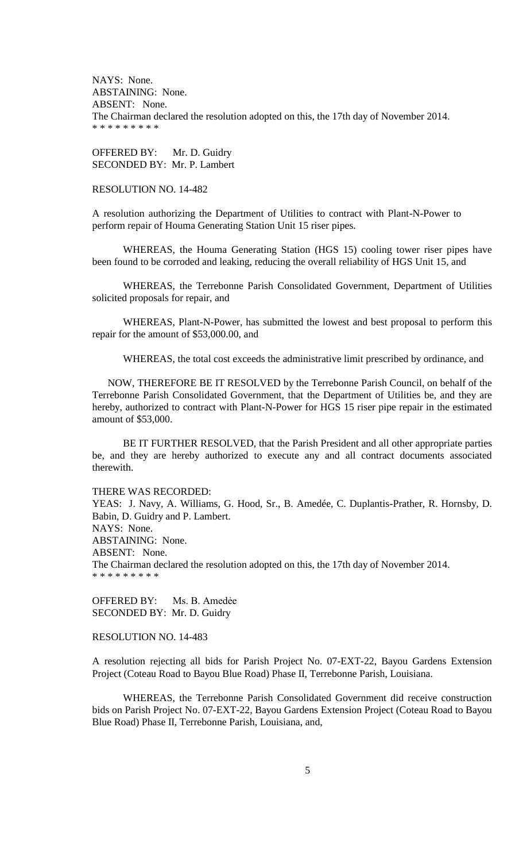NAYS: None. ABSTAINING: None. ABSENT: None. The Chairman declared the resolution adopted on this, the 17th day of November 2014. \* \* \* \* \* \* \* \* \*

OFFERED BY: Mr. D. Guidry SECONDED BY: Mr. P. Lambert

## RESOLUTION NO. 14-482

A resolution authorizing the Department of Utilities to contract with Plant-N-Power to perform repair of Houma Generating Station Unit 15 riser pipes.

WHEREAS, the Houma Generating Station (HGS 15) cooling tower riser pipes have been found to be corroded and leaking, reducing the overall reliability of HGS Unit 15, and

WHEREAS, the Terrebonne Parish Consolidated Government, Department of Utilities solicited proposals for repair, and

WHEREAS, Plant-N-Power, has submitted the lowest and best proposal to perform this repair for the amount of \$53,000.00, and

WHEREAS, the total cost exceeds the administrative limit prescribed by ordinance, and

NOW, THEREFORE BE IT RESOLVED by the Terrebonne Parish Council, on behalf of the Terrebonne Parish Consolidated Government, that the Department of Utilities be, and they are hereby, authorized to contract with Plant-N-Power for HGS 15 riser pipe repair in the estimated amount of \$53,000.

BE IT FURTHER RESOLVED, that the Parish President and all other appropriate parties be, and they are hereby authorized to execute any and all contract documents associated therewith.

## THERE WAS RECORDED:

YEAS: J. Navy, A. Williams, G. Hood, Sr., B. Amedée, C. Duplantis-Prather, R. Hornsby, D. Babin, D. Guidry and P. Lambert. NAYS: None. ABSTAINING: None. ABSENT: None. The Chairman declared the resolution adopted on this, the 17th day of November 2014. \* \* \* \* \* \* \* \* \*

OFFERED BY: Ms. B. Amedẻe SECONDED BY: Mr. D. Guidry

# RESOLUTION NO. 14-483

A resolution rejecting all bids for Parish Project No. 07-EXT-22, Bayou Gardens Extension Project (Coteau Road to Bayou Blue Road) Phase II, Terrebonne Parish, Louisiana.

WHEREAS, the Terrebonne Parish Consolidated Government did receive construction bids on Parish Project No. 07-EXT-22, Bayou Gardens Extension Project (Coteau Road to Bayou Blue Road) Phase II, Terrebonne Parish, Louisiana, and,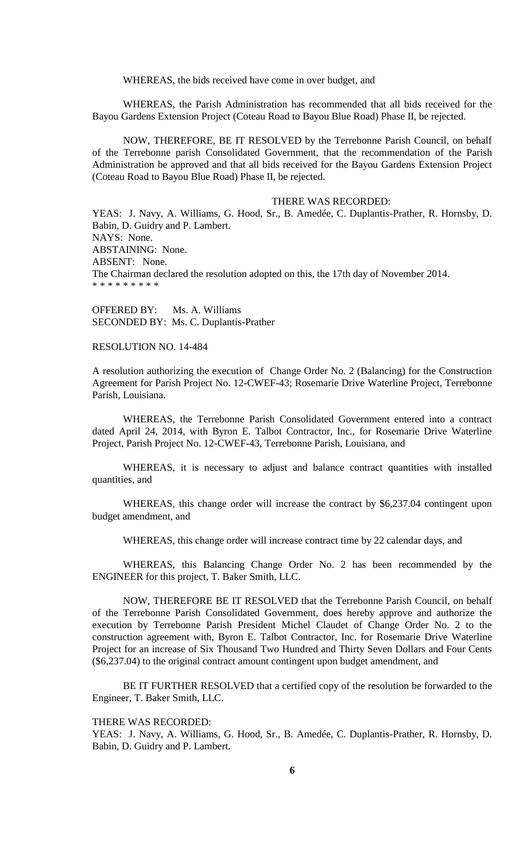WHEREAS, the bids received have come in over budget, and

WHEREAS, the Parish Administration has recommended that all bids received for the Bayou Gardens Extension Project (Coteau Road to Bayou Blue Road) Phase II, be rejected.

NOW, THEREFORE, BE IT RESOLVED by the Terrebonne Parish Council, on behalf of the Terrebonne parish Consolidated Government, that the recommendation of the Parish Administration be approved and that all bids received for the Bayou Gardens Extension Project (Coteau Road to Bayou Blue Road) Phase II, be rejected.

## THERE WAS RECORDED:

YEAS: J. Navy, A. Williams, G. Hood, Sr., B. Amedée, C. Duplantis-Prather, R. Hornsby, D. Babin, D. Guidry and P. Lambert. NAYS: None. ABSTAINING: None. ABSENT: None. The Chairman declared the resolution adopted on this, the 17th day of November 2014. \* \* \* \* \* \* \* \*

OFFERED BY: Ms. A. Williams SECONDED BY: Ms. C. Duplantis-Prather

### RESOLUTION NO. 14-484

A resolution authorizing the execution of Change Order No. 2 (Balancing) for the Construction Agreement for Parish Project No. 12-CWEF-43; Rosemarie Drive Waterline Project, Terrebonne Parish, Louisiana.

WHEREAS, the Terrebonne Parish Consolidated Government entered into a contract dated April 24, 2014, with Byron E. Talbot Contractor, Inc., for Rosemarie Drive Waterline Project, Parish Project No. 12-CWEF-43, Terrebonne Parish, Louisiana, and

WHEREAS, it is necessary to adjust and balance contract quantities with installed quantities, and

WHEREAS, this change order will increase the contract by \$6,237.04 contingent upon budget amendment, and

WHEREAS, this change order will increase contract time by 22 calendar days, and

WHEREAS, this Balancing Change Order No. 2 has been recommended by the ENGINEER for this project, T. Baker Smith, LLC.

NOW, THEREFORE BE IT RESOLVED that the Terrebonne Parish Council, on behalf of the Terrebonne Parish Consolidated Government, does hereby approve and authorize the execution by Terrebonne Parish President Michel Claudet of Change Order No. 2 to the construction agreement with, Byron E. Talbot Contractor, Inc. for Rosemarie Drive Waterline Project for an increase of Six Thousand Two Hundred and Thirty Seven Dollars and Four Cents (\$6,237.04) to the original contract amount contingent upon budget amendment, and

BE IT FURTHER RESOLVED that a certified copy of the resolution be forwarded to the Engineer, T. Baker Smith, LLC.

THERE WAS RECORDED:

YEAS: J. Navy, A. Williams, G. Hood, Sr., B. Amedée, C. Duplantis-Prather, R. Hornsby, D. Babin, D. Guidry and P. Lambert.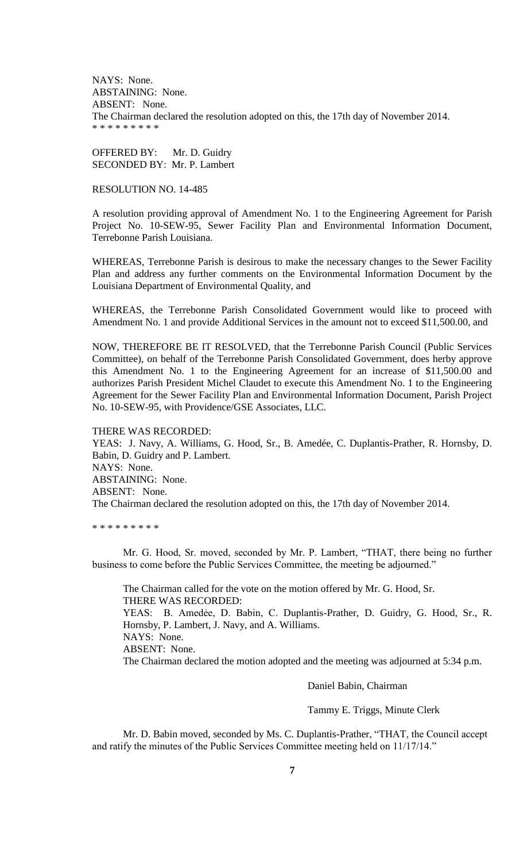NAYS: None. ABSTAINING: None. ABSENT: None. The Chairman declared the resolution adopted on this, the 17th day of November 2014. \* \* \* \* \* \* \* \* \*

OFFERED BY: Mr. D. Guidry SECONDED BY: Mr. P. Lambert

## RESOLUTION NO. 14-485

A resolution providing approval of Amendment No. 1 to the Engineering Agreement for Parish Project No. 10-SEW-95, Sewer Facility Plan and Environmental Information Document, Terrebonne Parish Louisiana.

WHEREAS, Terrebonne Parish is desirous to make the necessary changes to the Sewer Facility Plan and address any further comments on the Environmental Information Document by the Louisiana Department of Environmental Quality, and

WHEREAS, the Terrebonne Parish Consolidated Government would like to proceed with Amendment No. 1 and provide Additional Services in the amount not to exceed \$11,500.00, and

NOW, THEREFORE BE IT RESOLVED, that the Terrebonne Parish Council (Public Services Committee), on behalf of the Terrebonne Parish Consolidated Government, does herby approve this Amendment No. 1 to the Engineering Agreement for an increase of \$11,500.00 and authorizes Parish President Michel Claudet to execute this Amendment No. 1 to the Engineering Agreement for the Sewer Facility Plan and Environmental Information Document, Parish Project No. 10-SEW-95, with Providence/GSE Associates, LLC.

THERE WAS RECORDED: YEAS: J. Navy, A. Williams, G. Hood, Sr., B. Amedée, C. Duplantis-Prather, R. Hornsby, D. Babin, D. Guidry and P. Lambert. NAYS: None. ABSTAINING: None. ABSENT: None. The Chairman declared the resolution adopted on this, the 17th day of November 2014.

\* \* \* \* \* \* \* \* \*

Mr. G. Hood, Sr. moved, seconded by Mr. P. Lambert, "THAT, there being no further business to come before the Public Services Committee, the meeting be adjourned."

The Chairman called for the vote on the motion offered by Mr. G. Hood, Sr. THERE WAS RECORDED: YEAS: B. Amedẻe, D. Babin, C. Duplantis-Prather, D. Guidry, G. Hood, Sr., R. Hornsby, P. Lambert, J. Navy, and A. Williams. NAYS: None. ABSENT: None. The Chairman declared the motion adopted and the meeting was adjourned at 5:34 p.m.

Daniel Babin, Chairman

Tammy E. Triggs, Minute Clerk

Mr. D. Babin moved, seconded by Ms. C. Duplantis-Prather, "THAT, the Council accept and ratify the minutes of the Public Services Committee meeting held on 11/17/14."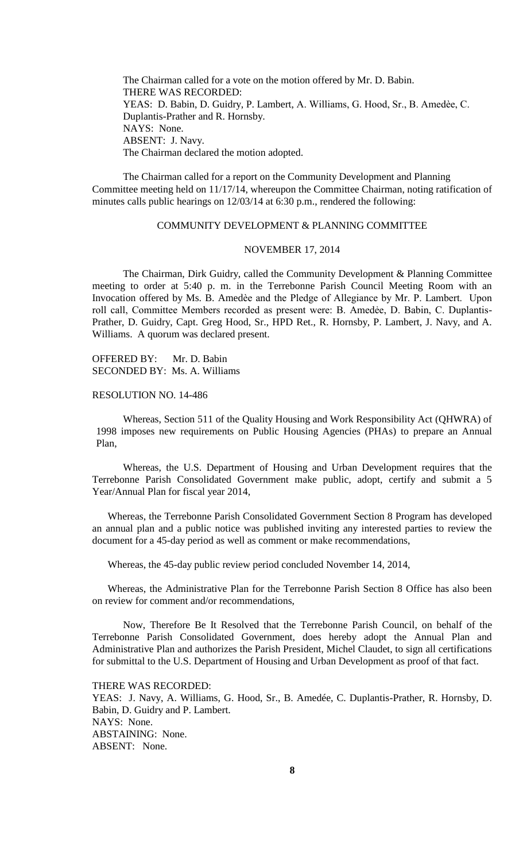The Chairman called for a vote on the motion offered by Mr. D. Babin. THERE WAS RECORDED: YEAS: D. Babin, D. Guidry, P. Lambert, A. Williams, G. Hood, Sr., B. Amedèe, C. Duplantis-Prather and R. Hornsby. NAYS: None. ABSENT: J. Navy. The Chairman declared the motion adopted.

The Chairman called for a report on the Community Development and Planning Committee meeting held on 11/17/14, whereupon the Committee Chairman, noting ratification of minutes calls public hearings on 12/03/14 at 6:30 p.m., rendered the following:

# COMMUNITY DEVELOPMENT & PLANNING COMMITTEE

### NOVEMBER 17, 2014

The Chairman, Dirk Guidry, called the Community Development & Planning Committee meeting to order at 5:40 p. m. in the Terrebonne Parish Council Meeting Room with an Invocation offered by Ms. B. Amedèe and the Pledge of Allegiance by Mr. P. Lambert. Upon roll call, Committee Members recorded as present were: B. Amedẻe, D. Babin, C. Duplantis-Prather, D. Guidry, Capt. Greg Hood, Sr., HPD Ret., R. Hornsby, P. Lambert, J. Navy, and A. Williams. A quorum was declared present.

OFFERED BY: Mr. D. Babin SECONDED BY: Ms. A. Williams

RESOLUTION NO. 14-486

Whereas, Section 511 of the Quality Housing and Work Responsibility Act (QHWRA) of 1998 imposes new requirements on Public Housing Agencies (PHAs) to prepare an Annual Plan,

Whereas, the U.S. Department of Housing and Urban Development requires that the Terrebonne Parish Consolidated Government make public, adopt, certify and submit a 5 Year/Annual Plan for fiscal year 2014,

Whereas, the Terrebonne Parish Consolidated Government Section 8 Program has developed an annual plan and a public notice was published inviting any interested parties to review the document for a 45-day period as well as comment or make recommendations,

Whereas, the 45-day public review period concluded November 14, 2014,

Whereas, the Administrative Plan for the Terrebonne Parish Section 8 Office has also been on review for comment and/or recommendations,

Now, Therefore Be It Resolved that the Terrebonne Parish Council, on behalf of the Terrebonne Parish Consolidated Government, does hereby adopt the Annual Plan and Administrative Plan and authorizes the Parish President, Michel Claudet, to sign all certifications for submittal to the U.S. Department of Housing and Urban Development as proof of that fact.

THERE WAS RECORDED:

YEAS: J. Navy, A. Williams, G. Hood, Sr., B. Amedée, C. Duplantis-Prather, R. Hornsby, D. Babin, D. Guidry and P. Lambert. NAYS: None. ABSTAINING: None. ABSENT: None.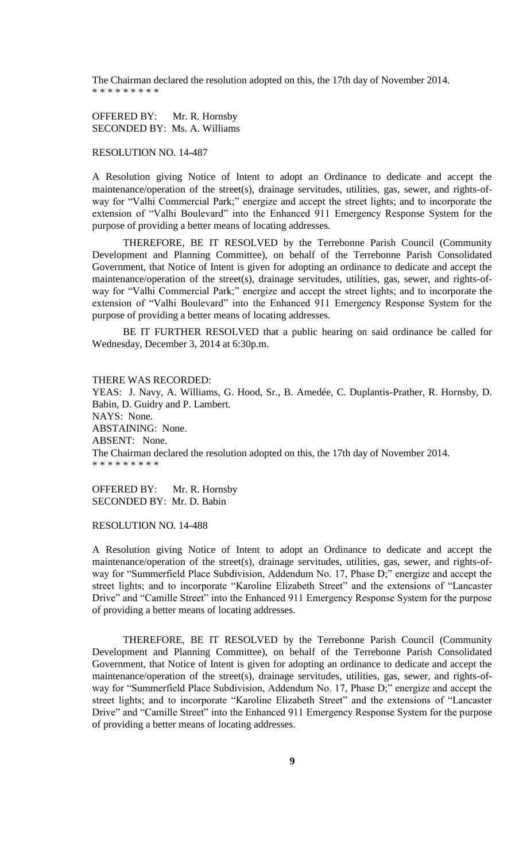The Chairman declared the resolution adopted on this, the 17th day of November 2014. \* \* \* \* \* \* \* \* \*

OFFERED BY: Mr. R. Hornsby SECONDED BY: Ms. A. Williams

RESOLUTION NO. 14-487

A Resolution giving Notice of Intent to adopt an Ordinance to dedicate and accept the maintenance/operation of the street(s), drainage servitudes, utilities, gas, sewer, and rights-ofway for "Valhi Commercial Park;" energize and accept the street lights; and to incorporate the extension of "Valhi Boulevard" into the Enhanced 911 Emergency Response System for the purpose of providing a better means of locating addresses.

THEREFORE, BE IT RESOLVED by the Terrebonne Parish Council (Community Development and Planning Committee), on behalf of the Terrebonne Parish Consolidated Government, that Notice of Intent is given for adopting an ordinance to dedicate and accept the maintenance/operation of the street(s), drainage servitudes, utilities, gas, sewer, and rights-ofway for "Valhi Commercial Park;" energize and accept the street lights; and to incorporate the extension of "Valhi Boulevard" into the Enhanced 911 Emergency Response System for the purpose of providing a better means of locating addresses.

BE IT FURTHER RESOLVED that a public hearing on said ordinance be called for Wednesday, December 3, 2014 at 6:30p.m.

## THERE WAS RECORDED:

YEAS: J. Navy, A. Williams, G. Hood, Sr., B. Amedée, C. Duplantis-Prather, R. Hornsby, D. Babin, D. Guidry and P. Lambert. NAYS: None. ABSTAINING: None. ABSENT: None. The Chairman declared the resolution adopted on this, the 17th day of November 2014. \* \* \* \* \* \* \* \* \*

OFFERED BY: Mr. R. Hornsby SECONDED BY: Mr. D. Babin

RESOLUTION NO. 14-488

A Resolution giving Notice of Intent to adopt an Ordinance to dedicate and accept the maintenance/operation of the street(s), drainage servitudes, utilities, gas, sewer, and rights-ofway for "Summerfield Place Subdivision, Addendum No. 17, Phase D;" energize and accept the street lights; and to incorporate "Karoline Elizabeth Street" and the extensions of "Lancaster Drive" and "Camille Street" into the Enhanced 911 Emergency Response System for the purpose of providing a better means of locating addresses.

THEREFORE, BE IT RESOLVED by the Terrebonne Parish Council (Community Development and Planning Committee), on behalf of the Terrebonne Parish Consolidated Government, that Notice of Intent is given for adopting an ordinance to dedicate and accept the maintenance/operation of the street(s), drainage servitudes, utilities, gas, sewer, and rights-ofway for "Summerfield Place Subdivision, Addendum No. 17, Phase D;" energize and accept the street lights; and to incorporate "Karoline Elizabeth Street" and the extensions of "Lancaster Drive" and "Camille Street" into the Enhanced 911 Emergency Response System for the purpose of providing a better means of locating addresses.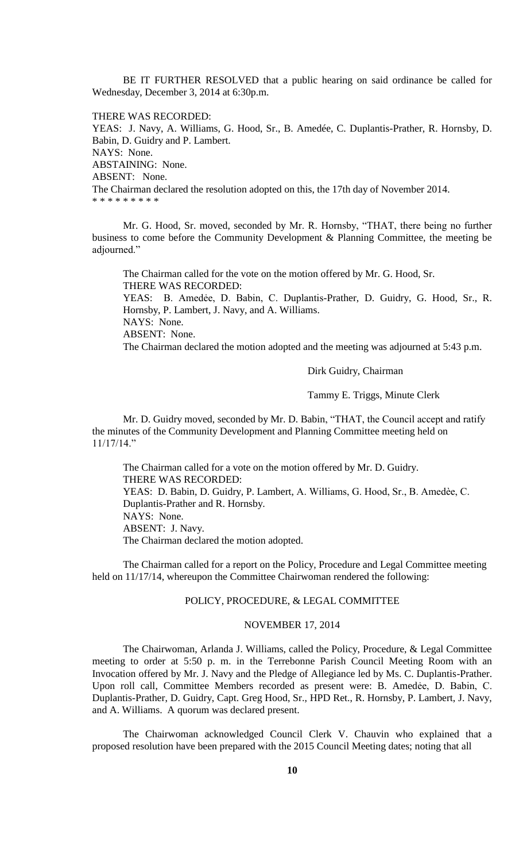BE IT FURTHER RESOLVED that a public hearing on said ordinance be called for Wednesday, December 3, 2014 at 6:30p.m.

THERE WAS RECORDED:

YEAS: J. Navy, A. Williams, G. Hood, Sr., B. Amedée, C. Duplantis-Prather, R. Hornsby, D. Babin, D. Guidry and P. Lambert. NAYS: None. ABSTAINING: None. ABSENT: None. The Chairman declared the resolution adopted on this, the 17th day of November 2014. \* \* \* \* \* \* \* \* \*

Mr. G. Hood, Sr. moved, seconded by Mr. R. Hornsby, "THAT, there being no further business to come before the Community Development & Planning Committee, the meeting be adjourned."

The Chairman called for the vote on the motion offered by Mr. G. Hood, Sr. THERE WAS RECORDED:

YEAS: B. Amedẻe, D. Babin, C. Duplantis-Prather, D. Guidry, G. Hood, Sr., R. Hornsby, P. Lambert, J. Navy, and A. Williams. NAYS: None.

ABSENT: None.

The Chairman declared the motion adopted and the meeting was adjourned at 5:43 p.m.

Dirk Guidry, Chairman

Tammy E. Triggs, Minute Clerk

Mr. D. Guidry moved, seconded by Mr. D. Babin, "THAT, the Council accept and ratify the minutes of the Community Development and Planning Committee meeting held on 11/17/14."

The Chairman called for a vote on the motion offered by Mr. D. Guidry. THERE WAS RECORDED: YEAS: D. Babin, D. Guidry, P. Lambert, A. Williams, G. Hood, Sr., B. Amedèe, C. Duplantis-Prather and R. Hornsby. NAYS: None. ABSENT: J. Navy. The Chairman declared the motion adopted.

The Chairman called for a report on the Policy, Procedure and Legal Committee meeting held on 11/17/14, whereupon the Committee Chairwoman rendered the following:

## POLICY, PROCEDURE, & LEGAL COMMITTEE

### NOVEMBER 17, 2014

The Chairwoman, Arlanda J. Williams, called the Policy, Procedure, & Legal Committee meeting to order at 5:50 p. m. in the Terrebonne Parish Council Meeting Room with an Invocation offered by Mr. J. Navy and the Pledge of Allegiance led by Ms. C. Duplantis-Prather. Upon roll call, Committee Members recorded as present were: B. Amedẻe, D. Babin, C. Duplantis-Prather, D. Guidry, Capt. Greg Hood, Sr., HPD Ret., R. Hornsby, P. Lambert, J. Navy, and A. Williams. A quorum was declared present.

The Chairwoman acknowledged Council Clerk V. Chauvin who explained that a proposed resolution have been prepared with the 2015 Council Meeting dates; noting that all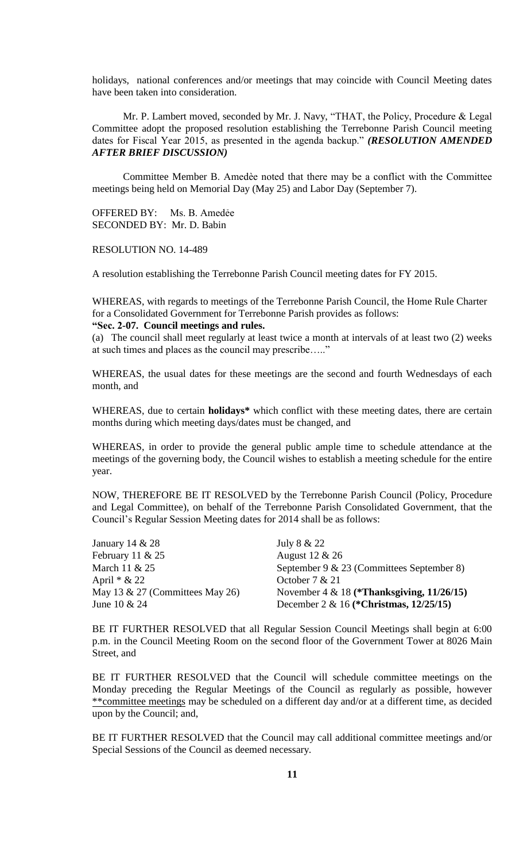holidays, national conferences and/or meetings that may coincide with Council Meeting dates have been taken into consideration.

Mr. P. Lambert moved, seconded by Mr. J. Navy, "THAT, the Policy, Procedure & Legal Committee adopt the proposed resolution establishing the Terrebonne Parish Council meeting dates for Fiscal Year 2015, as presented in the agenda backup." *(RESOLUTION AMENDED AFTER BRIEF DISCUSSION)*

Committee Member B. Amedѐe noted that there may be a conflict with the Committee meetings being held on Memorial Day (May 25) and Labor Day (September 7).

OFFERED BY: Ms. B. Amedẻe SECONDED BY: Mr. D. Babin

RESOLUTION NO. 14-489

A resolution establishing the Terrebonne Parish Council meeting dates for FY 2015.

WHEREAS, with regards to meetings of the Terrebonne Parish Council, the Home Rule Charter for a Consolidated Government for Terrebonne Parish provides as follows: **"Sec. 2-07. Council meetings and rules.**

(a) The council shall meet regularly at least twice a month at intervals of at least two (2) weeks at such times and places as the council may prescribe….."

WHEREAS, the usual dates for these meetings are the second and fourth Wednesdays of each month, and

WHEREAS, due to certain **holidays\*** which conflict with these meeting dates, there are certain months during which meeting days/dates must be changed, and

WHEREAS, in order to provide the general public ample time to schedule attendance at the meetings of the governing body, the Council wishes to establish a meeting schedule for the entire year.

NOW, THEREFORE BE IT RESOLVED by the Terrebonne Parish Council (Policy, Procedure and Legal Committee), on behalf of the Terrebonne Parish Consolidated Government, that the Council's Regular Session Meeting dates for 2014 shall be as follows:

| January 14 $& 28$               | July 8 & 22                                  |
|---------------------------------|----------------------------------------------|
| February 11 $& 25$              | August 12 & 26                               |
| March 11 & 25                   | September 9 & 23 (Committees September 8)    |
| April $* \& 22$                 | October $7 & 21$                             |
| May 13 & 27 (Committees May 26) | November 4 & 18 (*Thanksgiving, $11/26/15$ ) |
| June $10 \& 24$                 | December 2 & 16 (*Christmas, $12/25/15$ )    |

BE IT FURTHER RESOLVED that all Regular Session Council Meetings shall begin at 6:00 p.m. in the Council Meeting Room on the second floor of the Government Tower at 8026 Main Street, and

BE IT FURTHER RESOLVED that the Council will schedule committee meetings on the Monday preceding the Regular Meetings of the Council as regularly as possible, however \*\*committee meetings may be scheduled on a different day and/or at a different time, as decided upon by the Council; and,

BE IT FURTHER RESOLVED that the Council may call additional committee meetings and/or Special Sessions of the Council as deemed necessary.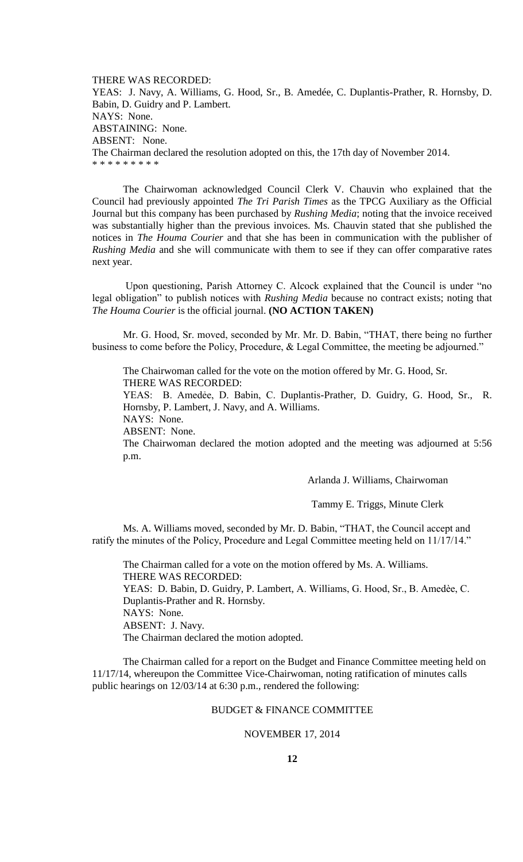THERE WAS RECORDED: YEAS: J. Navy, A. Williams, G. Hood, Sr., B. Amedée, C. Duplantis-Prather, R. Hornsby, D. Babin, D. Guidry and P. Lambert. NAYS: None. ABSTAINING: None. ABSENT: None. The Chairman declared the resolution adopted on this, the 17th day of November 2014. \* \* \* \* \* \* \* \*

The Chairwoman acknowledged Council Clerk V. Chauvin who explained that the Council had previously appointed *The Tri Parish Times* as the TPCG Auxiliary as the Official Journal but this company has been purchased by *Rushing Media*; noting that the invoice received was substantially higher than the previous invoices. Ms. Chauvin stated that she published the notices in *The Houma Courier* and that she has been in communication with the publisher of *Rushing Media* and she will communicate with them to see if they can offer comparative rates next year.

Upon questioning, Parish Attorney C. Alcock explained that the Council is under "no legal obligation" to publish notices with *Rushing Media* because no contract exists; noting that *The Houma Courier* is the official journal. **(NO ACTION TAKEN)**

Mr. G. Hood, Sr. moved, seconded by Mr. Mr. D. Babin, "THAT, there being no further business to come before the Policy, Procedure, & Legal Committee, the meeting be adjourned."

The Chairwoman called for the vote on the motion offered by Mr. G. Hood, Sr. THERE WAS RECORDED:

YEAS: B. Amedẻe, D. Babin, C. Duplantis-Prather, D. Guidry, G. Hood, Sr., R. Hornsby, P. Lambert, J. Navy, and A. Williams.

NAYS: None.

ABSENT: None.

The Chairwoman declared the motion adopted and the meeting was adjourned at 5:56 p.m.

Arlanda J. Williams, Chairwoman

Tammy E. Triggs, Minute Clerk

Ms. A. Williams moved, seconded by Mr. D. Babin, "THAT, the Council accept and ratify the minutes of the Policy, Procedure and Legal Committee meeting held on 11/17/14."

The Chairman called for a vote on the motion offered by Ms. A. Williams. THERE WAS RECORDED: YEAS: D. Babin, D. Guidry, P. Lambert, A. Williams, G. Hood, Sr., B. Amedèe, C. Duplantis-Prather and R. Hornsby. NAYS: None. ABSENT: J. Navy. The Chairman declared the motion adopted.

The Chairman called for a report on the Budget and Finance Committee meeting held on 11/17/14, whereupon the Committee Vice-Chairwoman, noting ratification of minutes calls public hearings on 12/03/14 at 6:30 p.m., rendered the following:

## BUDGET & FINANCE COMMITTEE

# NOVEMBER 17, 2014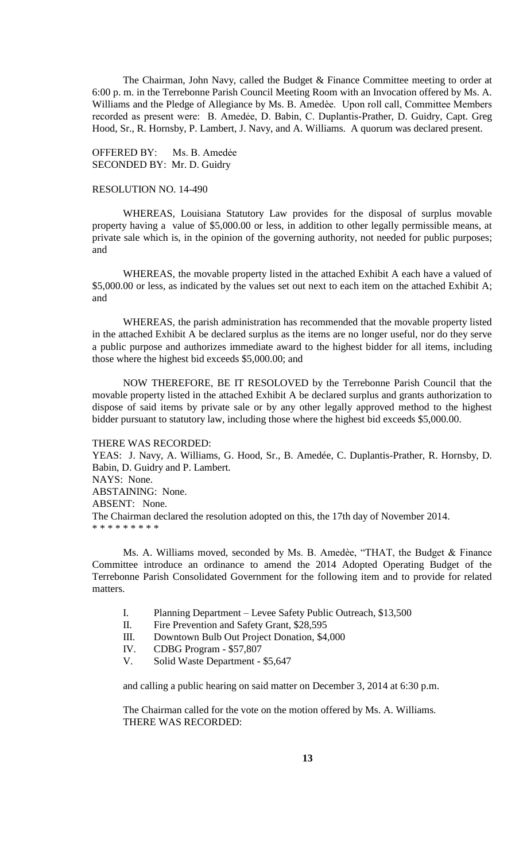The Chairman, John Navy, called the Budget & Finance Committee meeting to order at 6:00 p. m. in the Terrebonne Parish Council Meeting Room with an Invocation offered by Ms. A. Williams and the Pledge of Allegiance by Ms. B. Amedèe. Upon roll call, Committee Members recorded as present were: B. Amedėe, D. Babin, C. Duplantis-Prather, D. Guidry, Capt. Greg Hood, Sr., R. Hornsby, P. Lambert, J. Navy, and A. Williams. A quorum was declared present.

OFFERED BY: Ms. B. Amedẻe SECONDED BY: Mr. D. Guidry

### RESOLUTION NO. 14-490

WHEREAS, Louisiana Statutory Law provides for the disposal of surplus movable property having a value of \$5,000.00 or less, in addition to other legally permissible means, at private sale which is, in the opinion of the governing authority, not needed for public purposes; and

WHEREAS, the movable property listed in the attached Exhibit A each have a valued of \$5,000.00 or less, as indicated by the values set out next to each item on the attached Exhibit A; and

WHEREAS, the parish administration has recommended that the movable property listed in the attached Exhibit A be declared surplus as the items are no longer useful, nor do they serve a public purpose and authorizes immediate award to the highest bidder for all items, including those where the highest bid exceeds \$5,000.00; and

NOW THEREFORE, BE IT RESOLOVED by the Terrebonne Parish Council that the movable property listed in the attached Exhibit A be declared surplus and grants authorization to dispose of said items by private sale or by any other legally approved method to the highest bidder pursuant to statutory law, including those where the highest bid exceeds \$5,000.00.

THERE WAS RECORDED: YEAS: J. Navy, A. Williams, G. Hood, Sr., B. Amedée, C. Duplantis-Prather, R. Hornsby, D. Babin, D. Guidry and P. Lambert. NAYS: None. ABSTAINING: None. ABSENT: None. The Chairman declared the resolution adopted on this, the 17th day of November 2014. \* \* \* \* \* \* \* \* \*

Ms. A. Williams moved, seconded by Ms. B. Amedèe, "THAT, the Budget & Finance Committee introduce an ordinance to amend the 2014 Adopted Operating Budget of the Terrebonne Parish Consolidated Government for the following item and to provide for related matters.

- I. Planning Department Levee Safety Public Outreach, \$13,500
- II. Fire Prevention and Safety Grant, \$28,595
- III. Downtown Bulb Out Project Donation, \$4,000
- IV. CDBG Program \$57,807
- V. Solid Waste Department \$5,647

and calling a public hearing on said matter on December 3, 2014 at 6:30 p.m.

The Chairman called for the vote on the motion offered by Ms. A. Williams. THERE WAS RECORDED: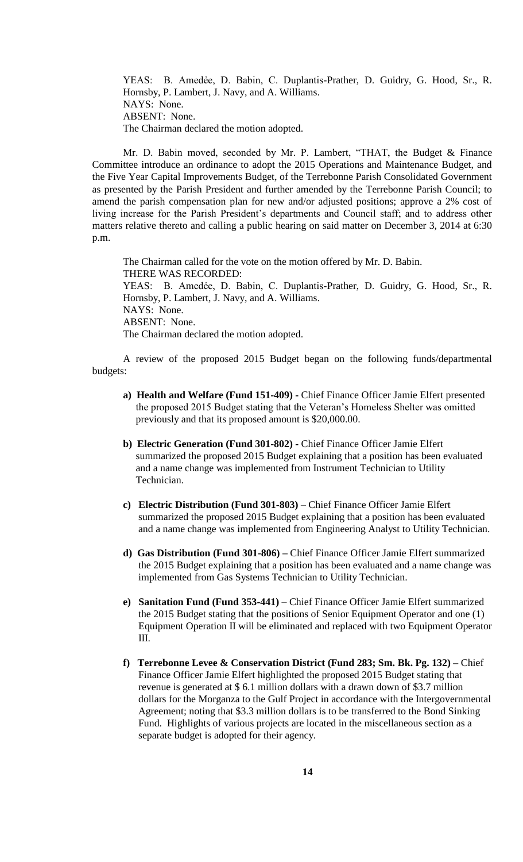YEAS: B. Amedẻe, D. Babin, C. Duplantis-Prather, D. Guidry, G. Hood, Sr., R. Hornsby, P. Lambert, J. Navy, and A. Williams. NAYS: None. ABSENT: None. The Chairman declared the motion adopted.

Mr. D. Babin moved, seconded by Mr. P. Lambert, "THAT, the Budget & Finance Committee introduce an ordinance to adopt the 2015 Operations and Maintenance Budget, and the Five Year Capital Improvements Budget, of the Terrebonne Parish Consolidated Government as presented by the Parish President and further amended by the Terrebonne Parish Council; to amend the parish compensation plan for new and/or adjusted positions; approve a 2% cost of living increase for the Parish President's departments and Council staff; and to address other matters relative thereto and calling a public hearing on said matter on December 3, 2014 at 6:30 p.m.

The Chairman called for the vote on the motion offered by Mr. D. Babin. THERE WAS RECORDED: YEAS: B. Amedẻe, D. Babin, C. Duplantis-Prather, D. Guidry, G. Hood, Sr., R. Hornsby, P. Lambert, J. Navy, and A. Williams. NAYS: None. ABSENT: None. The Chairman declared the motion adopted.

A review of the proposed 2015 Budget began on the following funds/departmental budgets:

- **a) Health and Welfare (Fund 151-409) -** Chief Finance Officer Jamie Elfert presented the proposed 2015 Budget stating that the Veteran's Homeless Shelter was omitted previously and that its proposed amount is \$20,000.00.
- **b) Electric Generation (Fund 301-802) -** Chief Finance Officer Jamie Elfert summarized the proposed 2015 Budget explaining that a position has been evaluated and a name change was implemented from Instrument Technician to Utility Technician.
- **c) Electric Distribution (Fund 301-803)** Chief Finance Officer Jamie Elfert summarized the proposed 2015 Budget explaining that a position has been evaluated and a name change was implemented from Engineering Analyst to Utility Technician.
- **d) Gas Distribution (Fund 301-806) –** Chief Finance Officer Jamie Elfert summarized the 2015 Budget explaining that a position has been evaluated and a name change was implemented from Gas Systems Technician to Utility Technician.
- **e) Sanitation Fund (Fund 353-441)** Chief Finance Officer Jamie Elfert summarized the 2015 Budget stating that the positions of Senior Equipment Operator and one (1) Equipment Operation II will be eliminated and replaced with two Equipment Operator III.
- **f) Terrebonne Levee & Conservation District (Fund 283; Sm. Bk. Pg. 132) –** Chief Finance Officer Jamie Elfert highlighted the proposed 2015 Budget stating that revenue is generated at \$ 6.1 million dollars with a drawn down of \$3.7 million dollars for the Morganza to the Gulf Project in accordance with the Intergovernmental Agreement; noting that \$3.3 million dollars is to be transferred to the Bond Sinking Fund. Highlights of various projects are located in the miscellaneous section as a separate budget is adopted for their agency.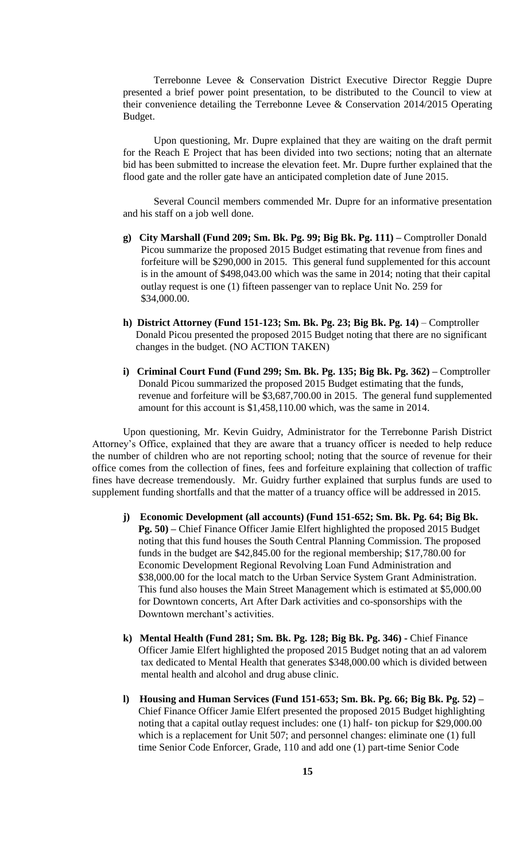Terrebonne Levee & Conservation District Executive Director Reggie Dupre presented a brief power point presentation, to be distributed to the Council to view at their convenience detailing the Terrebonne Levee & Conservation 2014/2015 Operating Budget.

Upon questioning, Mr. Dupre explained that they are waiting on the draft permit for the Reach E Project that has been divided into two sections; noting that an alternate bid has been submitted to increase the elevation feet. Mr. Dupre further explained that the flood gate and the roller gate have an anticipated completion date of June 2015.

Several Council members commended Mr. Dupre for an informative presentation and his staff on a job well done.

- **g) City Marshall (Fund 209; Sm. Bk. Pg. 99; Big Bk. Pg. 111) –** Comptroller Donald Picou summarize the proposed 2015 Budget estimating that revenue from fines and forfeiture will be \$290,000 in 2015. This general fund supplemented for this account is in the amount of \$498,043.00 which was the same in 2014; noting that their capital outlay request is one (1) fifteen passenger van to replace Unit No. 259 for \$34,000.00.
- **h) District Attorney (Fund 151-123; Sm. Bk. Pg. 23; Big Bk. Pg. 14)** Comptroller Donald Picou presented the proposed 2015 Budget noting that there are no significant changes in the budget. (NO ACTION TAKEN)
- **i) Criminal Court Fund (Fund 299; Sm. Bk. Pg. 135; Big Bk. Pg. 362) –** Comptroller Donald Picou summarized the proposed 2015 Budget estimating that the funds, revenue and forfeiture will be \$3,687,700.00 in 2015. The general fund supplemented amount for this account is \$1,458,110.00 which, was the same in 2014.

Upon questioning, Mr. Kevin Guidry, Administrator for the Terrebonne Parish District Attorney's Office, explained that they are aware that a truancy officer is needed to help reduce the number of children who are not reporting school; noting that the source of revenue for their office comes from the collection of fines, fees and forfeiture explaining that collection of traffic fines have decrease tremendously. Mr. Guidry further explained that surplus funds are used to supplement funding shortfalls and that the matter of a truancy office will be addressed in 2015.

- **j) Economic Development (all accounts) (Fund 151-652; Sm. Bk. Pg. 64; Big Bk. Pg. 50) –** Chief Finance Officer Jamie Elfert highlighted the proposed 2015 Budget noting that this fund houses the South Central Planning Commission. The proposed funds in the budget are \$42,845.00 for the regional membership; \$17,780.00 for Economic Development Regional Revolving Loan Fund Administration and \$38,000.00 for the local match to the Urban Service System Grant Administration. This fund also houses the Main Street Management which is estimated at \$5,000.00 for Downtown concerts, Art After Dark activities and co-sponsorships with the Downtown merchant's activities.
- **k) Mental Health (Fund 281; Sm. Bk. Pg. 128; Big Bk. Pg. 346) -** Chief Finance Officer Jamie Elfert highlighted the proposed 2015 Budget noting that an ad valorem tax dedicated to Mental Health that generates \$348,000.00 which is divided between mental health and alcohol and drug abuse clinic.
- **l) Housing and Human Services (Fund 151-653; Sm. Bk. Pg. 66; Big Bk. Pg. 52) –** Chief Finance Officer Jamie Elfert presented the proposed 2015 Budget highlighting noting that a capital outlay request includes: one (1) half- ton pickup for \$29,000.00 which is a replacement for Unit 507; and personnel changes: eliminate one (1) full time Senior Code Enforcer, Grade, 110 and add one (1) part-time Senior Code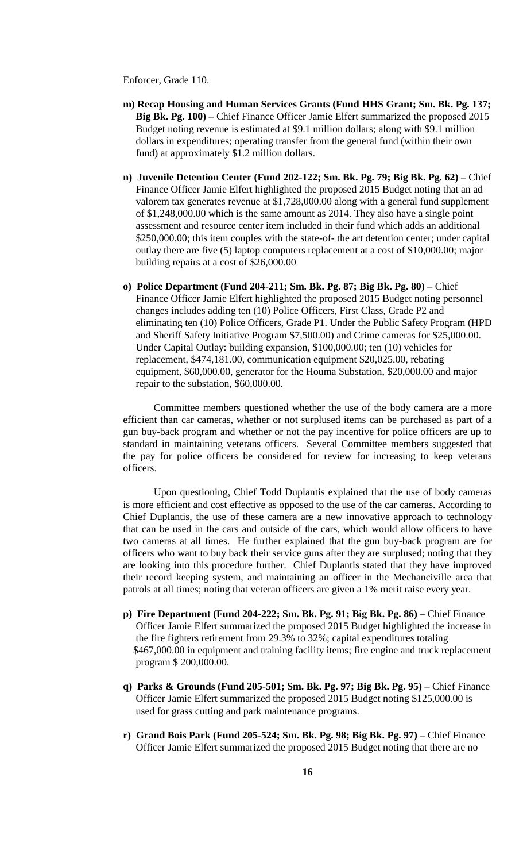Enforcer, Grade 110.

- **m) Recap Housing and Human Services Grants (Fund HHS Grant; Sm. Bk. Pg. 137; Big Bk. Pg. 100) –** Chief Finance Officer Jamie Elfert summarized the proposed 2015 Budget noting revenue is estimated at \$9.1 million dollars; along with \$9.1 million dollars in expenditures; operating transfer from the general fund (within their own fund) at approximately \$1.2 million dollars.
- **n) Juvenile Detention Center (Fund 202-122; Sm. Bk. Pg. 79; Big Bk. Pg. 62) –** Chief Finance Officer Jamie Elfert highlighted the proposed 2015 Budget noting that an ad valorem tax generates revenue at \$1,728,000.00 along with a general fund supplement of \$1,248,000.00 which is the same amount as 2014. They also have a single point assessment and resource center item included in their fund which adds an additional \$250,000.00; this item couples with the state-of- the art detention center; under capital outlay there are five (5) laptop computers replacement at a cost of \$10,000.00; major building repairs at a cost of \$26,000.00
- **o) Police Department (Fund 204-211; Sm. Bk. Pg. 87; Big Bk. Pg. 80) –** Chief Finance Officer Jamie Elfert highlighted the proposed 2015 Budget noting personnel changes includes adding ten (10) Police Officers, First Class, Grade P2 and eliminating ten (10) Police Officers, Grade P1. Under the Public Safety Program (HPD and Sheriff Safety Initiative Program \$7,500.00) and Crime cameras for \$25,000.00. Under Capital Outlay: building expansion, \$100,000.00; ten (10) vehicles for replacement, \$474,181.00, communication equipment \$20,025.00, rebating equipment, \$60,000.00, generator for the Houma Substation, \$20,000.00 and major repair to the substation, \$60,000.00.

Committee members questioned whether the use of the body camera are a more efficient than car cameras, whether or not surplused items can be purchased as part of a gun buy-back program and whether or not the pay incentive for police officers are up to standard in maintaining veterans officers. Several Committee members suggested that the pay for police officers be considered for review for increasing to keep veterans officers.

Upon questioning, Chief Todd Duplantis explained that the use of body cameras is more efficient and cost effective as opposed to the use of the car cameras. According to Chief Duplantis, the use of these camera are a new innovative approach to technology that can be used in the cars and outside of the cars, which would allow officers to have two cameras at all times. He further explained that the gun buy-back program are for officers who want to buy back their service guns after they are surplused; noting that they are looking into this procedure further. Chief Duplantis stated that they have improved their record keeping system, and maintaining an officer in the Mechanciville area that patrols at all times; noting that veteran officers are given a 1% merit raise every year.

- **p) Fire Department (Fund 204-222; Sm. Bk. Pg. 91; Big Bk. Pg. 86) –** Chief Finance Officer Jamie Elfert summarized the proposed 2015 Budget highlighted the increase in the fire fighters retirement from 29.3% to 32%; capital expenditures totaling \$467,000.00 in equipment and training facility items; fire engine and truck replacement program \$ 200,000.00.
- **q) Parks & Grounds (Fund 205-501; Sm. Bk. Pg. 97; Big Bk. Pg. 95) –** Chief Finance Officer Jamie Elfert summarized the proposed 2015 Budget noting \$125,000.00 is used for grass cutting and park maintenance programs.
- **r) Grand Bois Park (Fund 205-524; Sm. Bk. Pg. 98; Big Bk. Pg. 97) –** Chief Finance Officer Jamie Elfert summarized the proposed 2015 Budget noting that there are no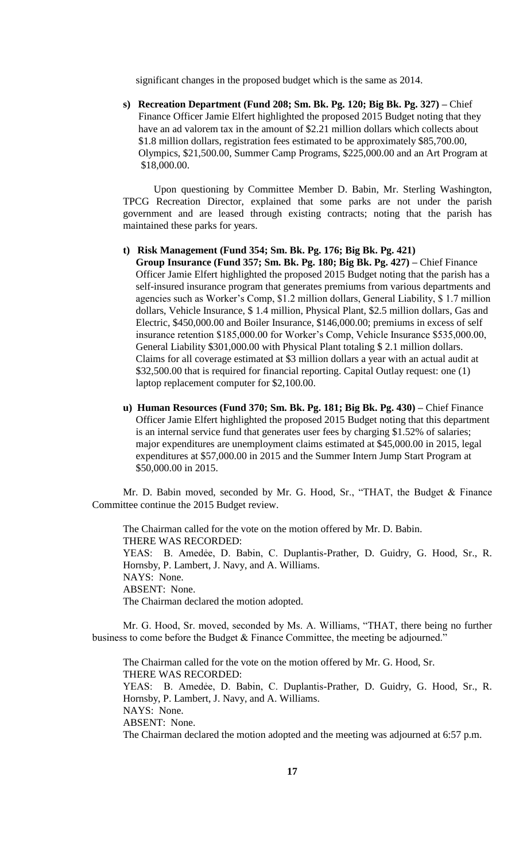significant changes in the proposed budget which is the same as 2014.

**s) Recreation Department (Fund 208; Sm. Bk. Pg. 120; Big Bk. Pg. 327) –** Chief Finance Officer Jamie Elfert highlighted the proposed 2015 Budget noting that they have an ad valorem tax in the amount of \$2.21 million dollars which collects about \$1.8 million dollars, registration fees estimated to be approximately \$85,700.00, Olympics, \$21,500.00, Summer Camp Programs, \$225,000.00 and an Art Program at \$18,000.00.

Upon questioning by Committee Member D. Babin, Mr. Sterling Washington, TPCG Recreation Director, explained that some parks are not under the parish government and are leased through existing contracts; noting that the parish has maintained these parks for years.

**t) Risk Management (Fund 354; Sm. Bk. Pg. 176; Big Bk. Pg. 421)**

 **Group Insurance (Fund 357; Sm. Bk. Pg. 180; Big Bk. Pg. 427) –** Chief Finance Officer Jamie Elfert highlighted the proposed 2015 Budget noting that the parish has a self-insured insurance program that generates premiums from various departments and agencies such as Worker's Comp, \$1.2 million dollars, General Liability, \$ 1.7 million dollars, Vehicle Insurance, \$ 1.4 million, Physical Plant, \$2.5 million dollars, Gas and Electric, \$450,000.00 and Boiler Insurance, \$146,000.00; premiums in excess of self insurance retention \$185,000.00 for Worker's Comp, Vehicle Insurance \$535,000.00, General Liability \$301,000.00 with Physical Plant totaling \$ 2.1 million dollars. Claims for all coverage estimated at \$3 million dollars a year with an actual audit at \$32,500.00 that is required for financial reporting. Capital Outlay request: one (1) laptop replacement computer for \$2,100.00.

**u) Human Resources (Fund 370; Sm. Bk. Pg. 181; Big Bk. Pg. 430) –** Chief Finance Officer Jamie Elfert highlighted the proposed 2015 Budget noting that this department is an internal service fund that generates user fees by charging \$1.52% of salaries; major expenditures are unemployment claims estimated at \$45,000.00 in 2015, legal expenditures at \$57,000.00 in 2015 and the Summer Intern Jump Start Program at \$50,000.00 in 2015.

Mr. D. Babin moved, seconded by Mr. G. Hood, Sr., "THAT, the Budget & Finance Committee continue the 2015 Budget review.

The Chairman called for the vote on the motion offered by Mr. D. Babin. THERE WAS RECORDED: YEAS: B. Amedẻe, D. Babin, C. Duplantis-Prather, D. Guidry, G. Hood, Sr., R. Hornsby, P. Lambert, J. Navy, and A. Williams. NAYS: None. ABSENT: None. The Chairman declared the motion adopted.

Mr. G. Hood, Sr. moved, seconded by Ms. A. Williams, "THAT, there being no further business to come before the Budget & Finance Committee, the meeting be adjourned."

The Chairman called for the vote on the motion offered by Mr. G. Hood, Sr. THERE WAS RECORDED: YEAS: B. Amedẻe, D. Babin, C. Duplantis-Prather, D. Guidry, G. Hood, Sr., R. Hornsby, P. Lambert, J. Navy, and A. Williams. NAYS: None. ABSENT: None. The Chairman declared the motion adopted and the meeting was adjourned at 6:57 p.m.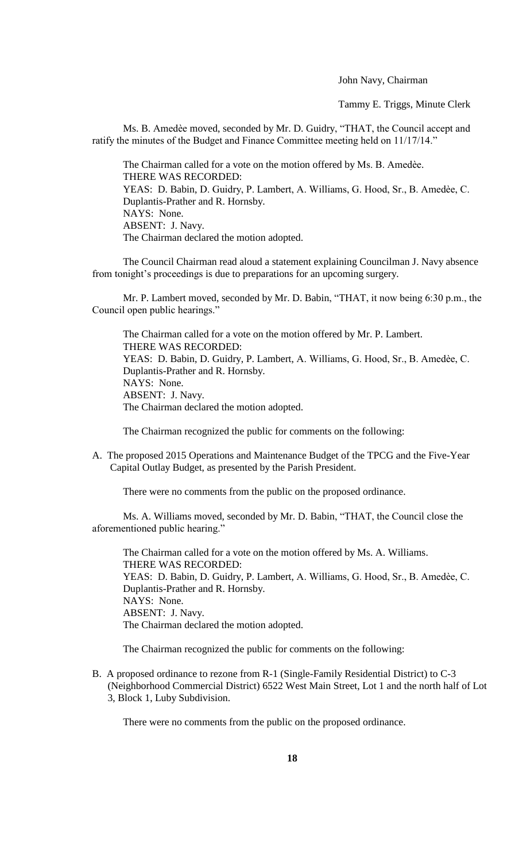John Navy, Chairman

Tammy E. Triggs, Minute Clerk

Ms. B. Amedèe moved, seconded by Mr. D. Guidry, "THAT, the Council accept and ratify the minutes of the Budget and Finance Committee meeting held on 11/17/14."

The Chairman called for a vote on the motion offered by Ms. B. Amedèe. THERE WAS RECORDED: YEAS: D. Babin, D. Guidry, P. Lambert, A. Williams, G. Hood, Sr., B. Amedèe, C. Duplantis-Prather and R. Hornsby. NAYS: None. ABSENT: J. Navy. The Chairman declared the motion adopted.

The Council Chairman read aloud a statement explaining Councilman J. Navy absence from tonight's proceedings is due to preparations for an upcoming surgery.

Mr. P. Lambert moved, seconded by Mr. D. Babin, "THAT, it now being 6:30 p.m., the Council open public hearings."

The Chairman called for a vote on the motion offered by Mr. P. Lambert. THERE WAS RECORDED: YEAS: D. Babin, D. Guidry, P. Lambert, A. Williams, G. Hood, Sr., B. Amedèe, C. Duplantis-Prather and R. Hornsby. NAYS: None. ABSENT: J. Navy. The Chairman declared the motion adopted.

The Chairman recognized the public for comments on the following:

A. The proposed 2015 Operations and Maintenance Budget of the TPCG and the Five-Year Capital Outlay Budget, as presented by the Parish President.

There were no comments from the public on the proposed ordinance.

Ms. A. Williams moved, seconded by Mr. D. Babin, "THAT, the Council close the aforementioned public hearing."

The Chairman called for a vote on the motion offered by Ms. A. Williams. THERE WAS RECORDED: YEAS: D. Babin, D. Guidry, P. Lambert, A. Williams, G. Hood, Sr., B. Amedèe, C. Duplantis-Prather and R. Hornsby. NAYS: None. ABSENT: J. Navy. The Chairman declared the motion adopted.

The Chairman recognized the public for comments on the following:

B. A proposed ordinance to rezone from R-1 (Single-Family Residential District) to C-3 (Neighborhood Commercial District) 6522 West Main Street, Lot 1 and the north half of Lot 3, Block 1, Luby Subdivision.

There were no comments from the public on the proposed ordinance.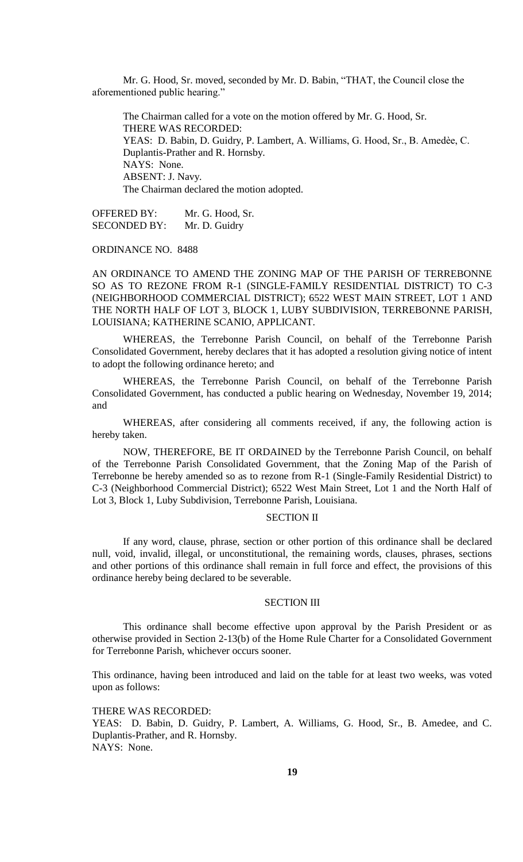Mr. G. Hood, Sr. moved, seconded by Mr. D. Babin, "THAT, the Council close the aforementioned public hearing."

The Chairman called for a vote on the motion offered by Mr. G. Hood, Sr. THERE WAS RECORDED: YEAS: D. Babin, D. Guidry, P. Lambert, A. Williams, G. Hood, Sr., B. Amedèe, C. Duplantis-Prather and R. Hornsby. NAYS: None. ABSENT: J. Navy. The Chairman declared the motion adopted.

OFFERED BY: Mr. G. Hood, Sr. SECONDED BY: Mr. D. Guidry

### ORDINANCE NO. 8488

AN ORDINANCE TO AMEND THE ZONING MAP OF THE PARISH OF TERREBONNE SO AS TO REZONE FROM R-1 (SINGLE-FAMILY RESIDENTIAL DISTRICT) TO C-3 (NEIGHBORHOOD COMMERCIAL DISTRICT); 6522 WEST MAIN STREET, LOT 1 AND THE NORTH HALF OF LOT 3, BLOCK 1, LUBY SUBDIVISION, TERREBONNE PARISH, LOUISIANA; KATHERINE SCANIO, APPLICANT.

WHEREAS, the Terrebonne Parish Council, on behalf of the Terrebonne Parish Consolidated Government, hereby declares that it has adopted a resolution giving notice of intent to adopt the following ordinance hereto; and

WHEREAS, the Terrebonne Parish Council, on behalf of the Terrebonne Parish Consolidated Government, has conducted a public hearing on Wednesday, November 19, 2014; and

WHEREAS, after considering all comments received, if any, the following action is hereby taken.

NOW, THEREFORE, BE IT ORDAINED by the Terrebonne Parish Council, on behalf of the Terrebonne Parish Consolidated Government, that the Zoning Map of the Parish of Terrebonne be hereby amended so as to rezone from R-1 (Single-Family Residential District) to C-3 (Neighborhood Commercial District); 6522 West Main Street, Lot 1 and the North Half of Lot 3, Block 1, Luby Subdivision, Terrebonne Parish, Louisiana.

### SECTION II

If any word, clause, phrase, section or other portion of this ordinance shall be declared null, void, invalid, illegal, or unconstitutional, the remaining words, clauses, phrases, sections and other portions of this ordinance shall remain in full force and effect, the provisions of this ordinance hereby being declared to be severable.

## SECTION III

This ordinance shall become effective upon approval by the Parish President or as otherwise provided in Section 2-13(b) of the Home Rule Charter for a Consolidated Government for Terrebonne Parish, whichever occurs sooner.

This ordinance, having been introduced and laid on the table for at least two weeks, was voted upon as follows:

#### THERE WAS RECORDED:

YEAS: D. Babin, D. Guidry, P. Lambert, A. Williams, G. Hood, Sr., B. Amedee, and C. Duplantis-Prather, and R. Hornsby. NAYS: None.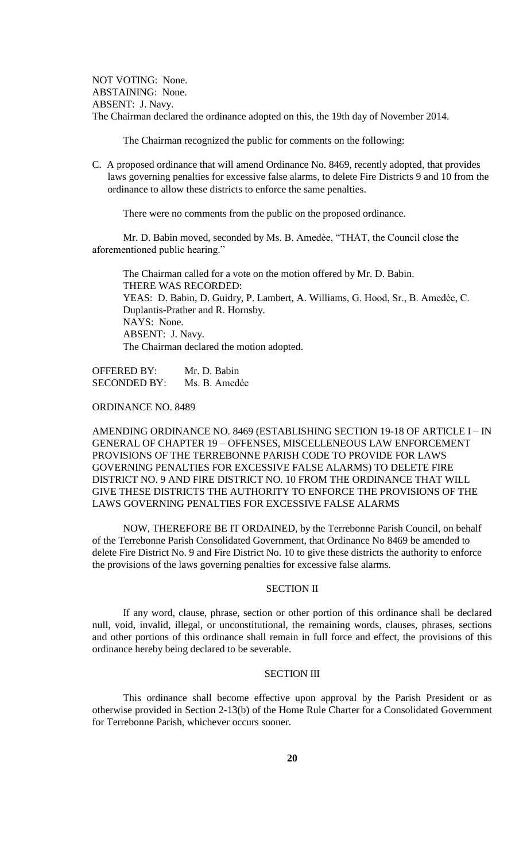NOT VOTING: None. ABSTAINING: None. ABSENT: J. Navy. The Chairman declared the ordinance adopted on this, the 19th day of November 2014.

The Chairman recognized the public for comments on the following:

C. A proposed ordinance that will amend Ordinance No. 8469, recently adopted, that provides laws governing penalties for excessive false alarms, to delete Fire Districts 9 and 10 from the ordinance to allow these districts to enforce the same penalties.

There were no comments from the public on the proposed ordinance.

Mr. D. Babin moved, seconded by Ms. B. Amedѐe, "THAT, the Council close the aforementioned public hearing."

The Chairman called for a vote on the motion offered by Mr. D. Babin. THERE WAS RECORDED: YEAS: D. Babin, D. Guidry, P. Lambert, A. Williams, G. Hood, Sr., B. Amedèe, C. Duplantis-Prather and R. Hornsby. NAYS: None. ABSENT: J. Navy. The Chairman declared the motion adopted.

OFFERED BY: Mr. D. Babin SECONDED BY: Ms. B. Amedée

## ORDINANCE NO. 8489

AMENDING ORDINANCE NO. 8469 (ESTABLISHING SECTION 19-18 OF ARTICLE I – IN GENERAL OF CHAPTER 19 – OFFENSES, MISCELLENEOUS LAW ENFORCEMENT PROVISIONS OF THE TERREBONNE PARISH CODE TO PROVIDE FOR LAWS GOVERNING PENALTIES FOR EXCESSIVE FALSE ALARMS) TO DELETE FIRE DISTRICT NO. 9 AND FIRE DISTRICT NO. 10 FROM THE ORDINANCE THAT WILL GIVE THESE DISTRICTS THE AUTHORITY TO ENFORCE THE PROVISIONS OF THE LAWS GOVERNING PENALTIES FOR EXCESSIVE FALSE ALARMS

NOW, THEREFORE BE IT ORDAINED, by the Terrebonne Parish Council, on behalf of the Terrebonne Parish Consolidated Government, that Ordinance No 8469 be amended to delete Fire District No. 9 and Fire District No. 10 to give these districts the authority to enforce the provisions of the laws governing penalties for excessive false alarms.

## SECTION II

If any word, clause, phrase, section or other portion of this ordinance shall be declared null, void, invalid, illegal, or unconstitutional, the remaining words, clauses, phrases, sections and other portions of this ordinance shall remain in full force and effect, the provisions of this ordinance hereby being declared to be severable.

# SECTION III

This ordinance shall become effective upon approval by the Parish President or as otherwise provided in Section 2-13(b) of the Home Rule Charter for a Consolidated Government for Terrebonne Parish, whichever occurs sooner.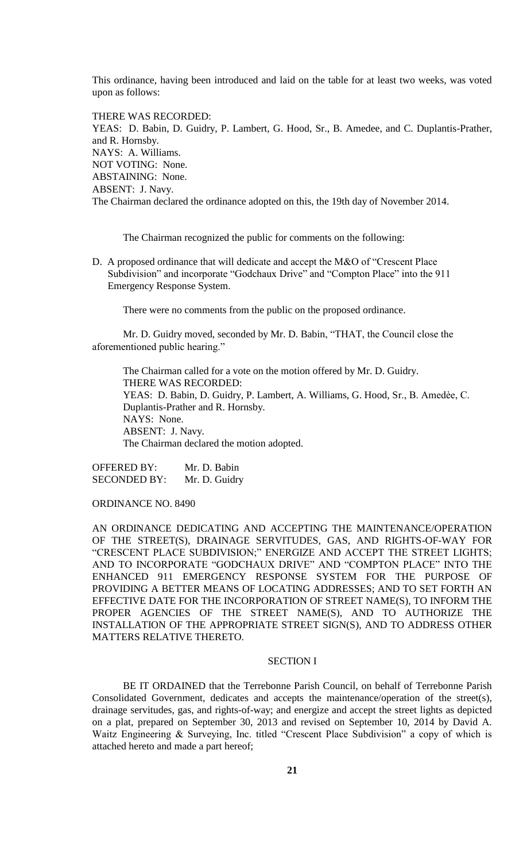This ordinance, having been introduced and laid on the table for at least two weeks, was voted upon as follows:

THERE WAS RECORDED: YEAS: D. Babin, D. Guidry, P. Lambert, G. Hood, Sr., B. Amedee, and C. Duplantis-Prather, and R. Hornsby. NAYS: A. Williams. NOT VOTING: None. ABSTAINING: None. ABSENT: J. Navy. The Chairman declared the ordinance adopted on this, the 19th day of November 2014.

The Chairman recognized the public for comments on the following:

D. A proposed ordinance that will dedicate and accept the M&O of "Crescent Place Subdivision" and incorporate "Godchaux Drive" and "Compton Place" into the 911 Emergency Response System.

There were no comments from the public on the proposed ordinance.

Mr. D. Guidry moved, seconded by Mr. D. Babin, "THAT, the Council close the aforementioned public hearing."

The Chairman called for a vote on the motion offered by Mr. D. Guidry. THERE WAS RECORDED: YEAS: D. Babin, D. Guidry, P. Lambert, A. Williams, G. Hood, Sr., B. Amedèe, C. Duplantis-Prather and R. Hornsby. NAYS: None. ABSENT: J. Navy. The Chairman declared the motion adopted.

OFFERED BY: Mr. D. Babin SECONDED BY: Mr. D. Guidry

ORDINANCE NO. 8490

AN ORDINANCE DEDICATING AND ACCEPTING THE MAINTENANCE/OPERATION OF THE STREET(S), DRAINAGE SERVITUDES, GAS, AND RIGHTS-OF-WAY FOR "CRESCENT PLACE SUBDIVISION;" ENERGIZE AND ACCEPT THE STREET LIGHTS; AND TO INCORPORATE "GODCHAUX DRIVE" AND "COMPTON PLACE" INTO THE ENHANCED 911 EMERGENCY RESPONSE SYSTEM FOR THE PURPOSE OF PROVIDING A BETTER MEANS OF LOCATING ADDRESSES; AND TO SET FORTH AN EFFECTIVE DATE FOR THE INCORPORATION OF STREET NAME(S), TO INFORM THE PROPER AGENCIES OF THE STREET NAME(S), AND TO AUTHORIZE THE INSTALLATION OF THE APPROPRIATE STREET SIGN(S), AND TO ADDRESS OTHER MATTERS RELATIVE THERETO.

# SECTION I

BE IT ORDAINED that the Terrebonne Parish Council, on behalf of Terrebonne Parish Consolidated Government, dedicates and accepts the maintenance/operation of the street(s), drainage servitudes, gas, and rights-of-way; and energize and accept the street lights as depicted on a plat, prepared on September 30, 2013 and revised on September 10, 2014 by David A. Waitz Engineering & Surveying, Inc. titled "Crescent Place Subdivision" a copy of which is attached hereto and made a part hereof;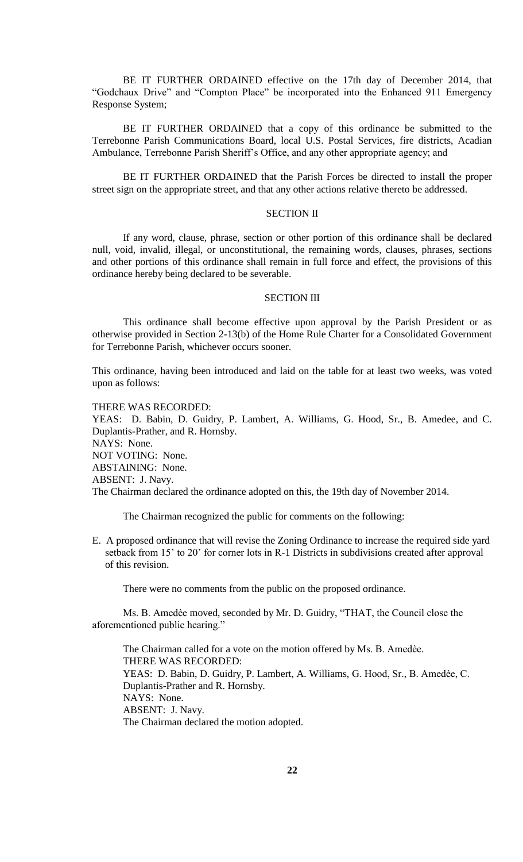BE IT FURTHER ORDAINED effective on the 17th day of December 2014, that "Godchaux Drive" and "Compton Place" be incorporated into the Enhanced 911 Emergency Response System;

BE IT FURTHER ORDAINED that a copy of this ordinance be submitted to the Terrebonne Parish Communications Board, local U.S. Postal Services, fire districts, Acadian Ambulance, Terrebonne Parish Sheriff's Office, and any other appropriate agency; and

BE IT FURTHER ORDAINED that the Parish Forces be directed to install the proper street sign on the appropriate street, and that any other actions relative thereto be addressed.

# SECTION II

If any word, clause, phrase, section or other portion of this ordinance shall be declared null, void, invalid, illegal, or unconstitutional, the remaining words, clauses, phrases, sections and other portions of this ordinance shall remain in full force and effect, the provisions of this ordinance hereby being declared to be severable.

# SECTION III

This ordinance shall become effective upon approval by the Parish President or as otherwise provided in Section 2-13(b) of the Home Rule Charter for a Consolidated Government for Terrebonne Parish, whichever occurs sooner.

This ordinance, having been introduced and laid on the table for at least two weeks, was voted upon as follows:

## THERE WAS RECORDED:

YEAS: D. Babin, D. Guidry, P. Lambert, A. Williams, G. Hood, Sr., B. Amedee, and C. Duplantis-Prather, and R. Hornsby. NAYS: None. NOT VOTING: None. ABSTAINING: None. ABSENT: J. Navy. The Chairman declared the ordinance adopted on this, the 19th day of November 2014.

The Chairman recognized the public for comments on the following:

E. A proposed ordinance that will revise the Zoning Ordinance to increase the required side yard setback from 15' to 20' for corner lots in R-1 Districts in subdivisions created after approval of this revision.

There were no comments from the public on the proposed ordinance.

Ms. B. Amedѐe moved, seconded by Mr. D. Guidry, "THAT, the Council close the aforementioned public hearing."

The Chairman called for a vote on the motion offered by Ms. B. Amedèe. THERE WAS RECORDED: YEAS: D. Babin, D. Guidry, P. Lambert, A. Williams, G. Hood, Sr., B. Amedèe, C. Duplantis-Prather and R. Hornsby. NAYS: None. ABSENT: J. Navy. The Chairman declared the motion adopted.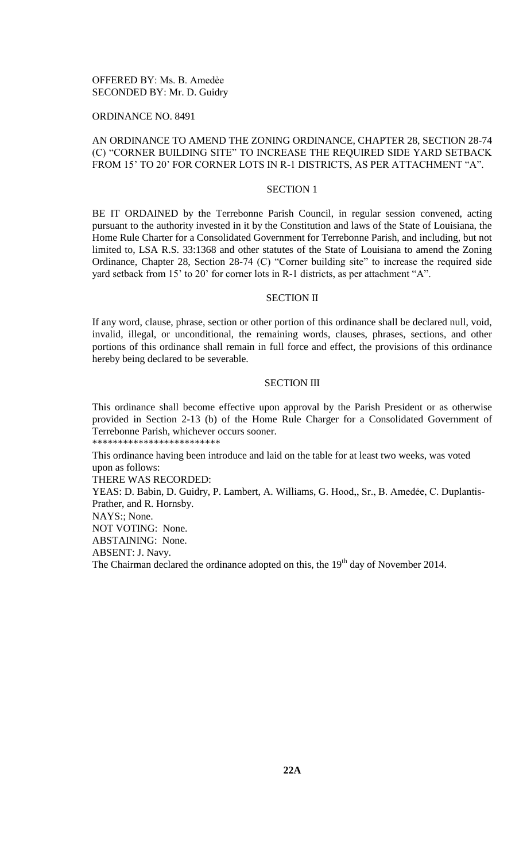# OFFERED BY: Ms. B. Amedẻe SECONDED BY: Mr. D. Guidry

### ORDINANCE NO. 8491

# AN ORDINANCE TO AMEND THE ZONING ORDINANCE, CHAPTER 28, SECTION 28-74 (C) "CORNER BUILDING SITE" TO INCREASE THE REQUIRED SIDE YARD SETBACK FROM 15' TO 20' FOR CORNER LOTS IN R-1 DISTRICTS, AS PER ATTACHMENT "A".

#### SECTION 1

BE IT ORDAINED by the Terrebonne Parish Council, in regular session convened, acting pursuant to the authority invested in it by the Constitution and laws of the State of Louisiana, the Home Rule Charter for a Consolidated Government for Terrebonne Parish, and including, but not limited to, LSA R.S. 33:1368 and other statutes of the State of Louisiana to amend the Zoning Ordinance, Chapter 28, Section 28-74 (C) "Corner building site" to increase the required side yard setback from 15' to 20' for corner lots in R-1 districts, as per attachment "A".

### SECTION II

If any word, clause, phrase, section or other portion of this ordinance shall be declared null, void, invalid, illegal, or unconditional, the remaining words, clauses, phrases, sections, and other portions of this ordinance shall remain in full force and effect, the provisions of this ordinance hereby being declared to be severable.

#### SECTION III

This ordinance shall become effective upon approval by the Parish President or as otherwise provided in Section 2-13 (b) of the Home Rule Charger for a Consolidated Government of Terrebonne Parish, whichever occurs sooner. \*\*\*\*\*\*\*\*\*\*\*\*\*\*\*\*\*\*\*\*\*\*\*\*\*

This ordinance having been introduce and laid on the table for at least two weeks, was voted upon as follows:

THERE WAS RECORDED:

YEAS: D. Babin, D. Guidry, P. Lambert, A. Williams, G. Hood,, Sr., B. Amedėe, C. Duplantis-Prather, and R. Hornsby.

NAYS:; None.

NOT VOTING: None.

ABSTAINING: None.

ABSENT: J. Navy.

The Chairman declared the ordinance adopted on this, the 19<sup>th</sup> day of November 2014.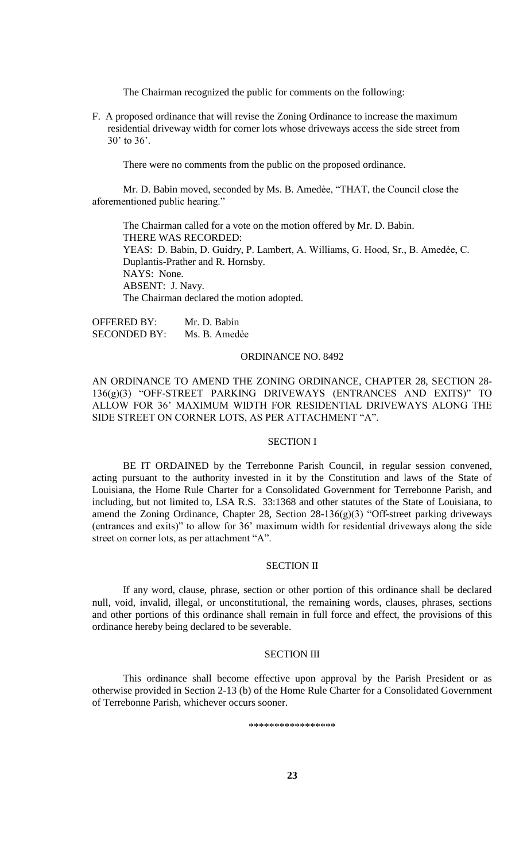The Chairman recognized the public for comments on the following:

F. A proposed ordinance that will revise the Zoning Ordinance to increase the maximum residential driveway width for corner lots whose driveways access the side street from 30' to 36'.

There were no comments from the public on the proposed ordinance.

Mr. D. Babin moved, seconded by Ms. B. Amedèe, "THAT, the Council close the aforementioned public hearing."

The Chairman called for a vote on the motion offered by Mr. D. Babin. THERE WAS RECORDED: YEAS: D. Babin, D. Guidry, P. Lambert, A. Williams, G. Hood, Sr., B. Amedèe, C. Duplantis-Prather and R. Hornsby. NAYS: None. ABSENT: J. Navy. The Chairman declared the motion adopted.

OFFERED BY: Mr. D. Babin SECONDED BY: Ms. B. Amedée

## ORDINANCE NO. 8492

AN ORDINANCE TO AMEND THE ZONING ORDINANCE, CHAPTER 28, SECTION 28- 136(g)(3) "OFF-STREET PARKING DRIVEWAYS (ENTRANCES AND EXITS)" TO ALLOW FOR 36' MAXIMUM WIDTH FOR RESIDENTIAL DRIVEWAYS ALONG THE SIDE STREET ON CORNER LOTS, AS PER ATTACHMENT "A".

#### SECTION I

BE IT ORDAINED by the Terrebonne Parish Council, in regular session convened, acting pursuant to the authority invested in it by the Constitution and laws of the State of Louisiana, the Home Rule Charter for a Consolidated Government for Terrebonne Parish, and including, but not limited to, LSA R.S. 33:1368 and other statutes of the State of Louisiana, to amend the Zoning Ordinance, Chapter 28, Section 28-136(g)(3) "Off-street parking driveways (entrances and exits)" to allow for 36' maximum width for residential driveways along the side street on corner lots, as per attachment "A".

## SECTION II

If any word, clause, phrase, section or other portion of this ordinance shall be declared null, void, invalid, illegal, or unconstitutional, the remaining words, clauses, phrases, sections and other portions of this ordinance shall remain in full force and effect, the provisions of this ordinance hereby being declared to be severable.

## SECTION III

This ordinance shall become effective upon approval by the Parish President or as otherwise provided in Section 2-13 (b) of the Home Rule Charter for a Consolidated Government of Terrebonne Parish, whichever occurs sooner.

\*\*\*\*\*\*\*\*\*\*\*\*\*\*\*\*\*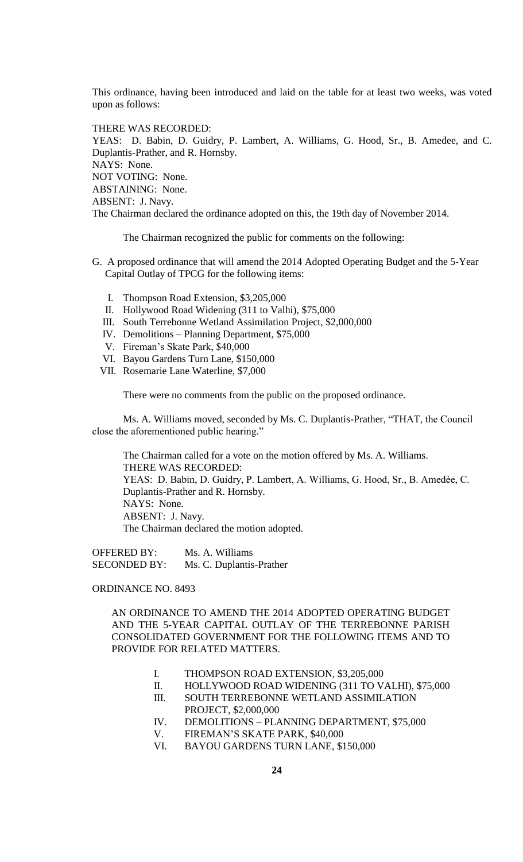This ordinance, having been introduced and laid on the table for at least two weeks, was voted upon as follows:

THERE WAS RECORDED:

YEAS: D. Babin, D. Guidry, P. Lambert, A. Williams, G. Hood, Sr., B. Amedee, and C. Duplantis-Prather, and R. Hornsby. NAYS: None. NOT VOTING: None. ABSTAINING: None. ABSENT: J. Navy. The Chairman declared the ordinance adopted on this, the 19th day of November 2014.

The Chairman recognized the public for comments on the following:

- G. A proposed ordinance that will amend the 2014 Adopted Operating Budget and the 5-Year Capital Outlay of TPCG for the following items:
	- I. Thompson Road Extension, \$3,205,000
	- II. Hollywood Road Widening (311 to Valhi), \$75,000
	- III. South Terrebonne Wetland Assimilation Project, \$2,000,000
	- IV. Demolitions Planning Department, \$75,000
	- V. Fireman's Skate Park, \$40,000
	- VI. Bayou Gardens Turn Lane, \$150,000
	- VII. Rosemarie Lane Waterline, \$7,000

There were no comments from the public on the proposed ordinance.

Ms. A. Williams moved, seconded by Ms. C. Duplantis-Prather, "THAT, the Council close the aforementioned public hearing."

The Chairman called for a vote on the motion offered by Ms. A. Williams. THERE WAS RECORDED: YEAS: D. Babin, D. Guidry, P. Lambert, A. Williams, G. Hood, Sr., B. Amedèe, C. Duplantis-Prather and R. Hornsby. NAYS: None. ABSENT: J. Navy. The Chairman declared the motion adopted.

OFFERED BY: Ms. A. Williams SECONDED BY: Ms. C. Duplantis-Prather

ORDINANCE NO. 8493

AN ORDINANCE TO AMEND THE 2014 ADOPTED OPERATING BUDGET AND THE 5-YEAR CAPITAL OUTLAY OF THE TERREBONNE PARISH CONSOLIDATED GOVERNMENT FOR THE FOLLOWING ITEMS AND TO PROVIDE FOR RELATED MATTERS.

- I. THOMPSON ROAD EXTENSION, \$3,205,000
- II. HOLLYWOOD ROAD WIDENING (311 TO VALHI), \$75,000
- III. SOUTH TERREBONNE WETLAND ASSIMILATION PROJECT, \$2,000,000
- IV. DEMOLITIONS PLANNING DEPARTMENT, \$75,000
- V. FIREMAN'S SKATE PARK, \$40,000
- VI. BAYOU GARDENS TURN LANE, \$150,000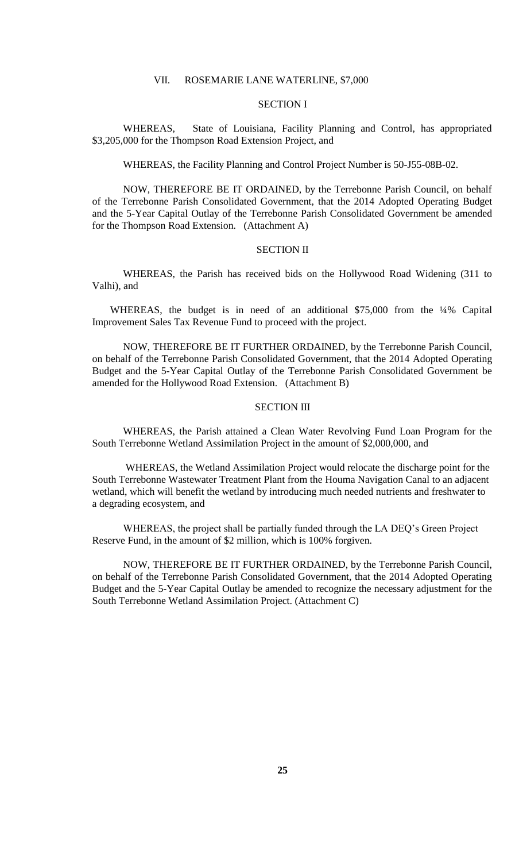## VII. ROSEMARIE LANE WATERLINE, \$7,000

# SECTION I

WHEREAS, State of Louisiana, Facility Planning and Control, has appropriated \$3,205,000 for the Thompson Road Extension Project, and

WHEREAS, the Facility Planning and Control Project Number is 50-J55-08B-02.

NOW, THEREFORE BE IT ORDAINED, by the Terrebonne Parish Council, on behalf of the Terrebonne Parish Consolidated Government, that the 2014 Adopted Operating Budget and the 5-Year Capital Outlay of the Terrebonne Parish Consolidated Government be amended for the Thompson Road Extension. (Attachment A)

#### SECTION II

WHEREAS, the Parish has received bids on the Hollywood Road Widening (311 to Valhi), and

WHEREAS, the budget is in need of an additional \$75,000 from the ¼% Capital Improvement Sales Tax Revenue Fund to proceed with the project.

NOW, THEREFORE BE IT FURTHER ORDAINED, by the Terrebonne Parish Council, on behalf of the Terrebonne Parish Consolidated Government, that the 2014 Adopted Operating Budget and the 5-Year Capital Outlay of the Terrebonne Parish Consolidated Government be amended for the Hollywood Road Extension. (Attachment B)

# SECTION III

WHEREAS, the Parish attained a Clean Water Revolving Fund Loan Program for the South Terrebonne Wetland Assimilation Project in the amount of \$2,000,000, and

WHEREAS, the Wetland Assimilation Project would relocate the discharge point for the South Terrebonne Wastewater Treatment Plant from the Houma Navigation Canal to an adjacent wetland, which will benefit the wetland by introducing much needed nutrients and freshwater to a degrading ecosystem, and

WHEREAS, the project shall be partially funded through the LA DEQ's Green Project Reserve Fund, in the amount of \$2 million, which is 100% forgiven.

NOW, THEREFORE BE IT FURTHER ORDAINED, by the Terrebonne Parish Council, on behalf of the Terrebonne Parish Consolidated Government, that the 2014 Adopted Operating Budget and the 5-Year Capital Outlay be amended to recognize the necessary adjustment for the South Terrebonne Wetland Assimilation Project. (Attachment C)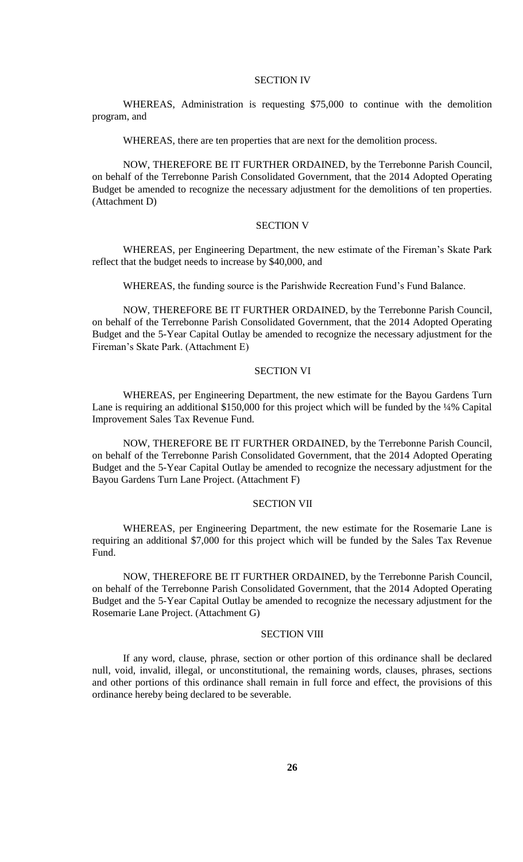### SECTION IV

WHEREAS, Administration is requesting \$75,000 to continue with the demolition program, and

WHEREAS, there are ten properties that are next for the demolition process.

NOW, THEREFORE BE IT FURTHER ORDAINED, by the Terrebonne Parish Council, on behalf of the Terrebonne Parish Consolidated Government, that the 2014 Adopted Operating Budget be amended to recognize the necessary adjustment for the demolitions of ten properties. (Attachment D)

# SECTION V

WHEREAS, per Engineering Department, the new estimate of the Fireman's Skate Park reflect that the budget needs to increase by \$40,000, and

WHEREAS, the funding source is the Parishwide Recreation Fund's Fund Balance.

NOW, THEREFORE BE IT FURTHER ORDAINED, by the Terrebonne Parish Council, on behalf of the Terrebonne Parish Consolidated Government, that the 2014 Adopted Operating Budget and the 5-Year Capital Outlay be amended to recognize the necessary adjustment for the Fireman's Skate Park. (Attachment E)

#### SECTION VI

WHEREAS, per Engineering Department, the new estimate for the Bayou Gardens Turn Lane is requiring an additional \$150,000 for this project which will be funded by the ¼% Capital Improvement Sales Tax Revenue Fund.

NOW, THEREFORE BE IT FURTHER ORDAINED, by the Terrebonne Parish Council, on behalf of the Terrebonne Parish Consolidated Government, that the 2014 Adopted Operating Budget and the 5-Year Capital Outlay be amended to recognize the necessary adjustment for the Bayou Gardens Turn Lane Project. (Attachment F)

# SECTION VII

WHEREAS, per Engineering Department, the new estimate for the Rosemarie Lane is requiring an additional \$7,000 for this project which will be funded by the Sales Tax Revenue Fund.

NOW, THEREFORE BE IT FURTHER ORDAINED, by the Terrebonne Parish Council, on behalf of the Terrebonne Parish Consolidated Government, that the 2014 Adopted Operating Budget and the 5-Year Capital Outlay be amended to recognize the necessary adjustment for the Rosemarie Lane Project. (Attachment G)

#### **SECTION VIII**

If any word, clause, phrase, section or other portion of this ordinance shall be declared null, void, invalid, illegal, or unconstitutional, the remaining words, clauses, phrases, sections and other portions of this ordinance shall remain in full force and effect, the provisions of this ordinance hereby being declared to be severable.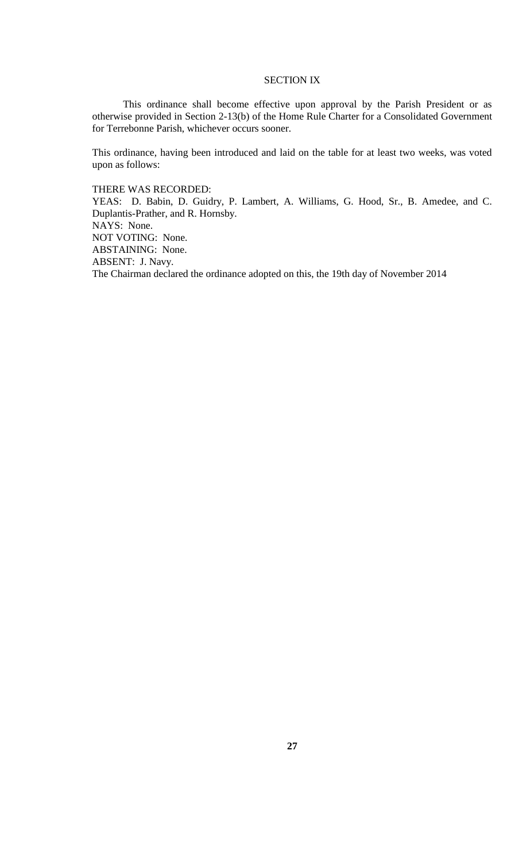# SECTION IX

This ordinance shall become effective upon approval by the Parish President or as otherwise provided in Section 2-13(b) of the Home Rule Charter for a Consolidated Government for Terrebonne Parish, whichever occurs sooner.

This ordinance, having been introduced and laid on the table for at least two weeks, was voted upon as follows:

THERE WAS RECORDED:

YEAS: D. Babin, D. Guidry, P. Lambert, A. Williams, G. Hood, Sr., B. Amedee, and C. Duplantis-Prather, and R. Hornsby. NAYS: None.

NOT VOTING: None.

ABSTAINING: None.

ABSENT: J. Navy.

The Chairman declared the ordinance adopted on this, the 19th day of November 2014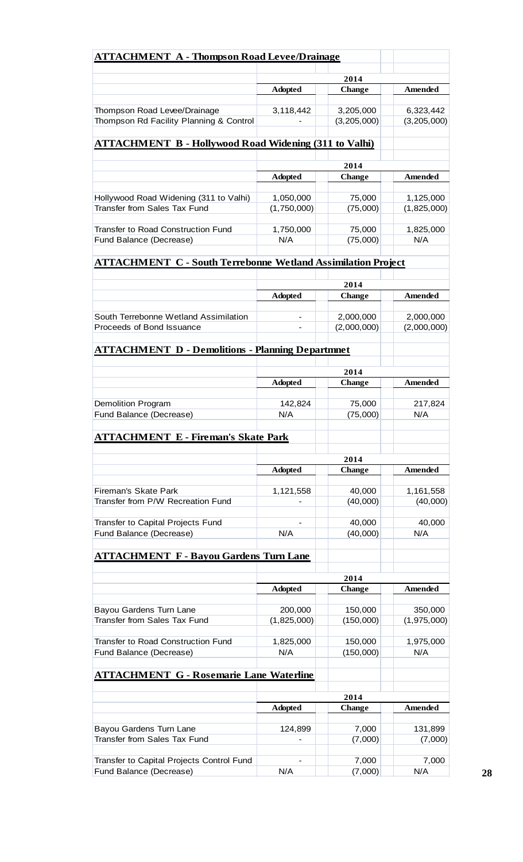| <b>ATTACHMENT A - Thompson Road Levee/Drainage</b>                   |                  |                          |                          |  |
|----------------------------------------------------------------------|------------------|--------------------------|--------------------------|--|
|                                                                      |                  | 2014                     |                          |  |
|                                                                      | <b>Adopted</b>   | <b>Change</b>            | <b>Amended</b>           |  |
| Thompson Road Levee/Drainage                                         | 3,118,442        | 3,205,000                | 6,323,442                |  |
| Thompson Rd Facility Planning & Control                              |                  | (3,205,000)              | (3,205,000)              |  |
| <b>ATTACHMENT B - Hollywood Road Widening (311 to Valhi)</b>         |                  |                          |                          |  |
|                                                                      |                  |                          |                          |  |
|                                                                      | <b>Adopted</b>   | 2014<br><b>Change</b>    | Amended                  |  |
|                                                                      |                  |                          |                          |  |
| Hollywood Road Widening (311 to Valhi)                               | 1,050,000        | 75,000                   | 1,125,000                |  |
| <b>Transfer from Sales Tax Fund</b>                                  | (1,750,000)      | (75,000)                 | (1,825,000)              |  |
| <b>Transfer to Road Construction Fund</b>                            |                  | 75,000                   |                          |  |
| Fund Balance (Decrease)                                              | 1,750,000<br>N/A | (75,000)                 | 1,825,000<br>N/A         |  |
|                                                                      |                  |                          |                          |  |
| <b>ATTACHMENT C - South Terrebonne Wetland Assimilation Project</b>  |                  |                          |                          |  |
|                                                                      | 2014             |                          |                          |  |
|                                                                      | <b>Adopted</b>   | <b>Change</b>            | <b>Amended</b>           |  |
| South Terrebonne Wetland Assimilation                                |                  |                          |                          |  |
| Proceeds of Bond Issuance                                            |                  | 2,000,000<br>(2,000,000) | 2,000,000<br>(2,000,000) |  |
|                                                                      |                  |                          |                          |  |
| <b>ATTACHMENT D - Demolitions - Planning Departmnet</b>              |                  |                          |                          |  |
|                                                                      |                  |                          |                          |  |
|                                                                      | <b>Adopted</b>   | 2014<br><b>Change</b>    | Amended                  |  |
|                                                                      |                  |                          |                          |  |
| <b>Demolition Program</b><br>Fund Balance (Decrease)                 | 142,824<br>N/A   | 75,000<br>(75,000)       | 217,824<br>N/A           |  |
|                                                                      |                  |                          |                          |  |
| <b>ATTACHMENT E - Fireman's Skate Park</b>                           |                  |                          |                          |  |
|                                                                      |                  | 2014                     |                          |  |
|                                                                      | <b>Adopted</b>   | <b>Change</b>            | <b>Amended</b>           |  |
| <b>Fireman's Skate Park</b>                                          | 1,121,558        | 40,000                   | 1,161,558                |  |
| Transfer from P/W Recreation Fund                                    |                  | (40,000)                 | (40,000)                 |  |
|                                                                      |                  |                          |                          |  |
| Transfer to Capital Projects Fund                                    |                  | 40,000                   | 40,000                   |  |
| Fund Balance (Decrease)                                              | N/A              | (40,000)                 | N/A                      |  |
| <b>ATTACHMENT F - Bayou Gardens Turn Lane</b>                        |                  |                          |                          |  |
|                                                                      |                  |                          |                          |  |
|                                                                      |                  | 2014                     |                          |  |
|                                                                      | <b>Adopted</b>   | <b>Change</b>            | Amended                  |  |
| Bayou Gardens Turn Lane                                              | 200,000          | 150,000                  | 350,000                  |  |
| <b>Transfer from Sales Tax Fund</b>                                  | (1,825,000)      | (150,000)                | (1,975,000)              |  |
|                                                                      |                  |                          |                          |  |
| <b>Transfer to Road Construction Fund</b><br>Fund Balance (Decrease) | 1,825,000<br>N/A | 150,000<br>(150,000)     | 1,975,000<br>N/A         |  |
|                                                                      |                  |                          |                          |  |
| <b>ATTACHMENT G - Rosemarie Lane Waterline</b>                       |                  |                          |                          |  |
|                                                                      | 2014             |                          |                          |  |
|                                                                      | <b>Adopted</b>   | <b>Change</b>            | <b>Amended</b>           |  |
|                                                                      |                  |                          |                          |  |
| Bayou Gardens Turn Lane                                              | 124,899          | 7,000                    | 131,899                  |  |
| Transfer from Sales Tax Fund                                         |                  | (7,000)                  | (7,000)                  |  |
| Transfer to Capital Projects Control Fund                            |                  | 7,000                    | 7,000                    |  |
| Fund Balance (Decrease)                                              | N/A              | (7,000)                  | N/A                      |  |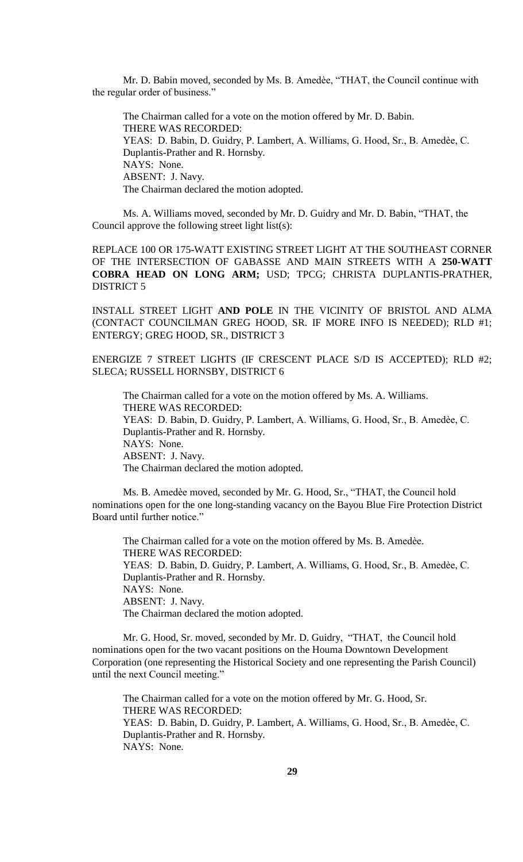Mr. D. Babin moved, seconded by Ms. B. Amedѐe, "THAT, the Council continue with the regular order of business."

The Chairman called for a vote on the motion offered by Mr. D. Babin. THERE WAS RECORDED: YEAS: D. Babin, D. Guidry, P. Lambert, A. Williams, G. Hood, Sr., B. Amedèe, C. Duplantis-Prather and R. Hornsby. NAYS: None. ABSENT: J. Navy. The Chairman declared the motion adopted.

Ms. A. Williams moved, seconded by Mr. D. Guidry and Mr. D. Babin, "THAT, the Council approve the following street light list(s):

REPLACE 100 OR 175-WATT EXISTING STREET LIGHT AT THE SOUTHEAST CORNER OF THE INTERSECTION OF GABASSE AND MAIN STREETS WITH A **250-WATT COBRA HEAD ON LONG ARM;** USD; TPCG; CHRISTA DUPLANTIS-PRATHER, DISTRICT 5

INSTALL STREET LIGHT **AND POLE** IN THE VICINITY OF BRISTOL AND ALMA (CONTACT COUNCILMAN GREG HOOD, SR. IF MORE INFO IS NEEDED); RLD #1; ENTERGY; GREG HOOD, SR., DISTRICT 3

ENERGIZE 7 STREET LIGHTS (IF CRESCENT PLACE S/D IS ACCEPTED); RLD #2; SLECA; RUSSELL HORNSBY, DISTRICT 6

The Chairman called for a vote on the motion offered by Ms. A. Williams. THERE WAS RECORDED: YEAS: D. Babin, D. Guidry, P. Lambert, A. Williams, G. Hood, Sr., B. Amedèe, C. Duplantis-Prather and R. Hornsby. NAYS: None. ABSENT: J. Navy. The Chairman declared the motion adopted.

Ms. B. Amedèe moved, seconded by Mr. G. Hood, Sr., "THAT, the Council hold nominations open for the one long-standing vacancy on the Bayou Blue Fire Protection District Board until further notice."

The Chairman called for a vote on the motion offered by Ms. B. Amedèe. THERE WAS RECORDED: YEAS: D. Babin, D. Guidry, P. Lambert, A. Williams, G. Hood, Sr., B. Amedèe, C. Duplantis-Prather and R. Hornsby. NAYS: None. ABSENT: J. Navy. The Chairman declared the motion adopted.

Mr. G. Hood, Sr. moved, seconded by Mr. D. Guidry, "THAT, the Council hold nominations open for the two vacant positions on the Houma Downtown Development Corporation (one representing the Historical Society and one representing the Parish Council) until the next Council meeting."

The Chairman called for a vote on the motion offered by Mr. G. Hood, Sr. THERE WAS RECORDED: YEAS: D. Babin, D. Guidry, P. Lambert, A. Williams, G. Hood, Sr., B. Amedèe, C. Duplantis-Prather and R. Hornsby. NAYS: None.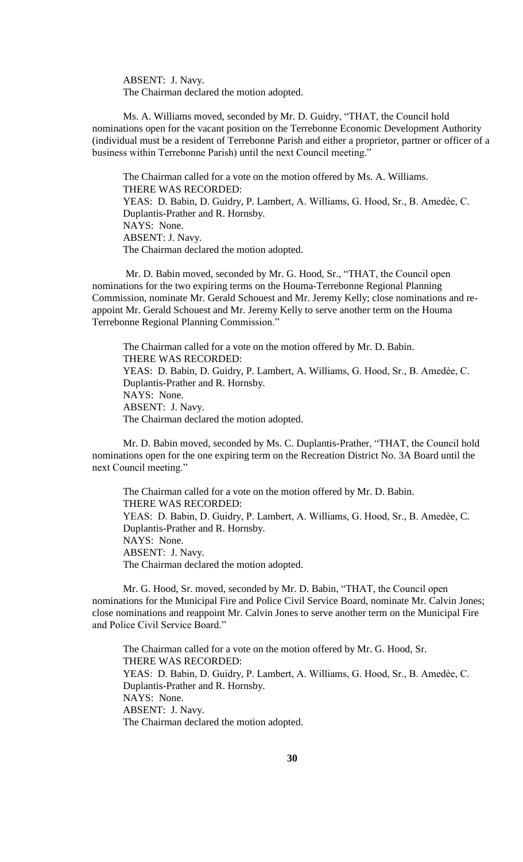ABSENT: J. Navy. The Chairman declared the motion adopted.

Ms. A. Williams moved, seconded by Mr. D. Guidry, "THAT, the Council hold nominations open for the vacant position on the Terrebonne Economic Development Authority (individual must be a resident of Terrebonne Parish and either a proprietor, partner or officer of a business within Terrebonne Parish) until the next Council meeting."

The Chairman called for a vote on the motion offered by Ms. A. Williams. THERE WAS RECORDED: YEAS: D. Babin, D. Guidry, P. Lambert, A. Williams, G. Hood, Sr., B. Amedèe, C. Duplantis-Prather and R. Hornsby. NAYS: None. ABSENT: J. Navy. The Chairman declared the motion adopted.

Mr. D. Babin moved, seconded by Mr. G. Hood, Sr., "THAT, the Council open nominations for the two expiring terms on the Houma-Terrebonne Regional Planning Commission, nominate Mr. Gerald Schouest and Mr. Jeremy Kelly; close nominations and reappoint Mr. Gerald Schouest and Mr. Jeremy Kelly to serve another term on the Houma Terrebonne Regional Planning Commission."

The Chairman called for a vote on the motion offered by Mr. D. Babin. THERE WAS RECORDED: YEAS: D. Babin, D. Guidry, P. Lambert, A. Williams, G. Hood, Sr., B. Amedèe, C. Duplantis-Prather and R. Hornsby. NAYS: None. ABSENT: J. Navy. The Chairman declared the motion adopted.

Mr. D. Babin moved, seconded by Ms. C. Duplantis-Prather, "THAT, the Council hold nominations open for the one expiring term on the Recreation District No. 3A Board until the next Council meeting."

The Chairman called for a vote on the motion offered by Mr. D. Babin. THERE WAS RECORDED: YEAS: D. Babin, D. Guidry, P. Lambert, A. Williams, G. Hood, Sr., B. Amedèe, C. Duplantis-Prather and R. Hornsby. NAYS: None. ABSENT: J. Navy. The Chairman declared the motion adopted.

Mr. G. Hood, Sr. moved, seconded by Mr. D. Babin, "THAT, the Council open nominations for the Municipal Fire and Police Civil Service Board, nominate Mr. Calvin Jones; close nominations and reappoint Mr. Calvin Jones to serve another term on the Municipal Fire and Police Civil Service Board."

The Chairman called for a vote on the motion offered by Mr. G. Hood, Sr. THERE WAS RECORDED: YEAS: D. Babin, D. Guidry, P. Lambert, A. Williams, G. Hood, Sr., B. Amedèe, C. Duplantis-Prather and R. Hornsby. NAYS: None. ABSENT: J. Navy. The Chairman declared the motion adopted.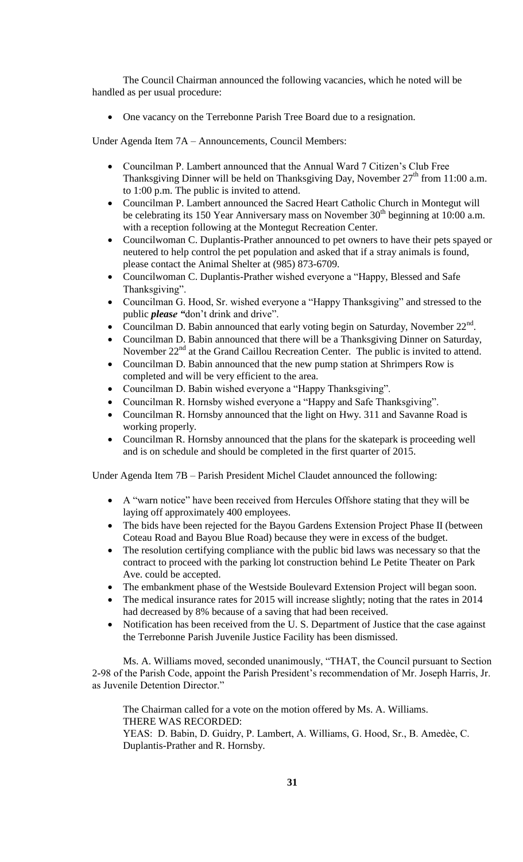The Council Chairman announced the following vacancies, which he noted will be handled as per usual procedure:

One vacancy on the Terrebonne Parish Tree Board due to a resignation.

Under Agenda Item 7A – Announcements, Council Members:

- Councilman P. Lambert announced that the Annual Ward 7 Citizen's Club Free Thanksgiving Dinner will be held on Thanksgiving Day, November  $27<sup>th</sup>$  from 11:00 a.m. to 1:00 p.m. The public is invited to attend.
- Councilman P. Lambert announced the Sacred Heart Catholic Church in Montegut will be celebrating its 150 Year Anniversary mass on November  $30<sup>th</sup>$  beginning at 10:00 a.m. with a reception following at the Montegut Recreation Center.
- Councilwoman C. Duplantis-Prather announced to pet owners to have their pets spayed or neutered to help control the pet population and asked that if a stray animals is found, please contact the Animal Shelter at (985) 873-6709.
- Councilwoman C. Duplantis-Prather wished everyone a "Happy, Blessed and Safe Thanksgiving".
- Councilman G. Hood, Sr. wished everyone a "Happy Thanksgiving" and stressed to the public *please "*don't drink and drive".
- Councilman D. Babin announced that early voting begin on Saturday, November  $22<sup>nd</sup>$ .
- Councilman D. Babin announced that there will be a Thanksgiving Dinner on Saturday, November  $22<sup>nd</sup>$  at the Grand Caillou Recreation Center. The public is invited to attend.
- Councilman D. Babin announced that the new pump station at Shrimpers Row is completed and will be very efficient to the area.
- Councilman D. Babin wished everyone a "Happy Thanksgiving".
- Councilman R. Hornsby wished everyone a "Happy and Safe Thanksgiving".
- Councilman R. Hornsby announced that the light on Hwy. 311 and Savanne Road is working properly.
- Councilman R. Hornsby announced that the plans for the skatepark is proceeding well and is on schedule and should be completed in the first quarter of 2015.

Under Agenda Item 7B – Parish President Michel Claudet announced the following:

- A "warn notice" have been received from Hercules Offshore stating that they will be laying off approximately 400 employees.
- The bids have been rejected for the Bayou Gardens Extension Project Phase II (between Coteau Road and Bayou Blue Road) because they were in excess of the budget.
- The resolution certifying compliance with the public bid laws was necessary so that the contract to proceed with the parking lot construction behind Le Petite Theater on Park Ave. could be accepted.
- The embankment phase of the Westside Boulevard Extension Project will began soon.
- The medical insurance rates for 2015 will increase slightly; noting that the rates in 2014 had decreased by 8% because of a saving that had been received.
- Notification has been received from the U.S. Department of Justice that the case against the Terrebonne Parish Juvenile Justice Facility has been dismissed.

Ms. A. Williams moved, seconded unanimously, "THAT, the Council pursuant to Section 2-98 of the Parish Code, appoint the Parish President's recommendation of Mr. Joseph Harris, Jr. as Juvenile Detention Director."

The Chairman called for a vote on the motion offered by Ms. A. Williams. THERE WAS RECORDED: YEAS: D. Babin, D. Guidry, P. Lambert, A. Williams, G. Hood, Sr., B. Amedèe, C.

Duplantis-Prather and R. Hornsby.